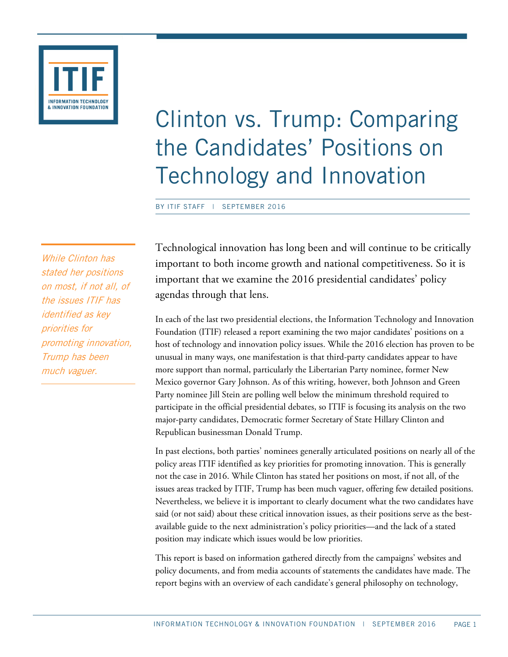

# Clinton vs. Trump: Comparing the Candidates' Positions on Technology and Innovation

BY ITIF STAFF | SEPTEMBER 2016

While Clinton has stated her positions on most, if not all, of the issues ITIF has identified as key priorities for promoting innovation, Trump has been much vaguer.

Technological innovation has long been and will continue to be critically important to both income growth and national competitiveness. So it is important that we examine the 2016 presidential candidates' policy agendas through that lens.

In each of the last two presidential elections, the Information Technology and Innovation Foundation (ITIF) released a report examining the two major candidates' positions on a host of technology and innovation policy issues. While the 2016 election has proven to be unusual in many ways, one manifestation is that third-party candidates appear to have more support than normal, particularly the Libertarian Party nominee, former New Mexico governor Gary Johnson. As of this writing, however, both Johnson and Green Party nominee Jill Stein are polling well below the minimum threshold required to participate in the official presidential debates, so ITIF is focusing its analysis on the two major-party candidates, Democratic former Secretary of State Hillary Clinton and Republican businessman Donald Trump.

In past elections, both parties' nominees generally articulated positions on nearly all of the policy areas ITIF identified as key priorities for promoting innovation. This is generally not the case in 2016. While Clinton has stated her positions on most, if not all, of the issues areas tracked by ITIF, Trump has been much vaguer, offering few detailed positions. Nevertheless, we believe it is important to clearly document what the two candidates have said (or not said) about these critical innovation issues, as their positions serve as the bestavailable guide to the next administration's policy priorities—and the lack of a stated position may indicate which issues would be low priorities.

This report is based on information gathered directly from the campaigns' websites and policy documents, and from media accounts of statements the candidates have made. The report begins with an overview of each candidate's general philosophy on technology,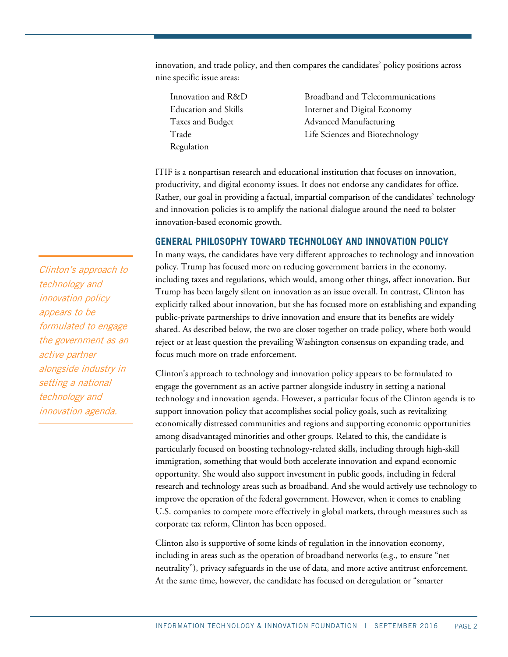innovation, and trade policy, and then compares the candidates' policy positions across nine specific issue areas:

- Regulation
- Innovation and R&D Broadband and Telecommunications Education and Skills **Internet and Digital Economy** Taxes and Budget Advanced Manufacturing Trade Life Sciences and Biotechnology

ITIF is a nonpartisan research and educational institution that focuses on innovation, productivity, and digital economy issues. It does not endorse any candidates for office. Rather, our goal in providing a factual, impartial comparison of the candidates' technology and innovation policies is to amplify the national dialogue around the need to bolster innovation-based economic growth.

#### **GENERAL PHILOSOPHY TOWARD TECHNOLOGY AND INNOVATION POLICY**

In many ways, the candidates have very different approaches to technology and innovation policy. Trump has focused more on reducing government barriers in the economy, including taxes and regulations, which would, among other things, affect innovation. But Trump has been largely silent on innovation as an issue overall. In contrast, Clinton has explicitly talked about innovation, but she has focused more on establishing and expanding public-private partnerships to drive innovation and ensure that its benefits are widely shared. As described below, the two are closer together on trade policy, where both would reject or at least question the prevailing Washington consensus on expanding trade, and focus much more on trade enforcement.

Clinton's approach to technology and innovation policy appears to be formulated to engage the government as an active partner alongside industry in setting a national technology and innovation agenda. However, a particular focus of the Clinton agenda is to support innovation policy that accomplishes social policy goals, such as revitalizing economically distressed communities and regions and supporting economic opportunities among disadvantaged minorities and other groups. Related to this, the candidate is particularly focused on boosting technology-related skills, including through high-skill immigration, something that would both accelerate innovation and expand economic opportunity. She would also support investment in public goods, including in federal research and technology areas such as broadband. And she would actively use technology to improve the operation of the federal government. However, when it comes to enabling U.S. companies to compete more effectively in global markets, through measures such as corporate tax reform, Clinton has been opposed.

Clinton also is supportive of some kinds of regulation in the innovation economy, including in areas such as the operation of broadband networks (e.g., to ensure "net neutrality"), privacy safeguards in the use of data, and more active antitrust enforcement. At the same time, however, the candidate has focused on deregulation or "smarter

Clinton's approach to technology and innovation policy appears to be formulated to engage the government as an active partner alongside industry in setting a national technology and innovation agenda.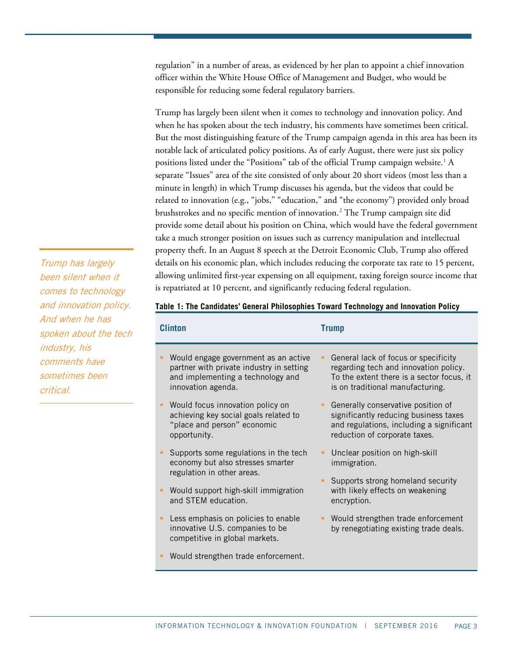regulation" in a number of areas, as evidenced by her plan to appoint a chief innovation officer within the White House Office of Management and Budget, who would be responsible for reducing some federal regulatory barriers.

Trump has largely been silent when it comes to technology and innovation policy. And when he has spoken about the tech industry, his comments have sometimes been critical. But the most distinguishing feature of the Trump campaign agenda in this area has been its notable lack of articulated policy positions. As of early August, there were just six policy positions listed under the "Positions" tab of the official Trump campaign website.<sup>1</sup> A separate "Issues" area of the site consisted of only about 20 short videos (most less than a minute in length) in which Trump discusses his agenda, but the videos that could be related to innovation (e.g., "jobs," "education," and "the economy") provided only broad brushstrokes and no specific mention of innovation. [2](#page-28-1) The Trump campaign site did provide some detail about his position on China, which would have the federal government take a much stronger position on issues such as currency manipulation and intellectual property theft. In an August 8 speech at the Detroit Economic Club, Trump also offered details on his economic plan, which includes reducing the corporate tax rate to 15 percent, allowing unlimited first-year expensing on all equipment, taxing foreign source income that is repatriated at 10 percent, and significantly reducing federal regulation.

# been silent when it comes to technology and innovation policy. And when he has spoken about the tech industry, his comments have sometimes been critical.

Trump has largely

#### **Table 1: The Candidates' General Philosophies Toward Technology and Innovation Policy**

| Clinton |                                                                                                                                             | <b>Trump</b>                                                                                                                                                   |  |
|---------|---------------------------------------------------------------------------------------------------------------------------------------------|----------------------------------------------------------------------------------------------------------------------------------------------------------------|--|
|         | Would engage government as an active<br>partner with private industry in setting<br>and implementing a technology and<br>innovation agenda. | General lack of focus or specificity<br>regarding tech and innovation policy.<br>To the extent there is a sector focus, it<br>is on traditional manufacturing. |  |
|         | Would focus innovation policy on<br>achieving key social goals related to<br>"place and person" economic<br>opportunity.                    | Generally conservative position of<br>significantly reducing business taxes<br>and regulations, including a significant<br>reduction of corporate taxes.       |  |
|         | Supports some regulations in the tech<br>economy but also stresses smarter<br>regulation in other areas.                                    | Unclear position on high-skill<br>immigration.                                                                                                                 |  |
|         | Would support high-skill immigration<br>and STEM education.                                                                                 | Supports strong homeland security<br>with likely effects on weakening<br>encryption.                                                                           |  |
|         | Less emphasis on policies to enable<br>innovative U.S. companies to be<br>competitive in global markets.                                    | Would strengthen trade enforcement<br>by renegotiating existing trade deals.                                                                                   |  |
|         | Would strengthen trade enforcement.                                                                                                         |                                                                                                                                                                |  |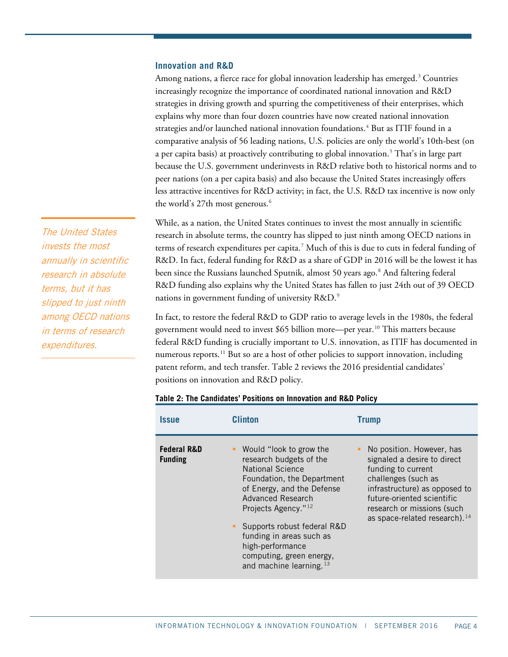#### **Innovation and R&D**

Among nations, a fierce race for global innovation leadership has emerged. [3](#page-28-2) Countries increasingly recognize the importance of coordinated national innovation and R&D strategies in driving growth and spurring the competitiveness of their enterprises, which explains why more than four dozen countries have now created national innovation strategies and/or launched national innovation foundations.[4](#page-28-3) But as ITIF found in a comparative analysis of 56 leading nations, U.S. policies are only the world's 10th-best (on a per capita basis) at proactively contributing to global innovation.<sup>[5](#page-28-4)</sup> That's in large part because the U.S. government underinvests in R&D relative both to historical norms and to peer nations (on a per capita basis) and also because the United States increasingly offers less attractive incentives for R&D activity; in fact, the U.S. R&D tax incentive is now only the world's 27th most generous.<sup>[6](#page-28-5)</sup>

While, as a nation, the United States continues to invest the most annually in scientific research in absolute terms, the country has slipped to just ninth among OECD nations in terms of research expenditures per capita.[7](#page-28-6) Much of this is due to cuts in federal funding of R&D. In fact, federal funding for R&D as a share of GDP in 2016 will be the lowest it has been since the Russians launched Sputnik, almost 50 years ago.<sup>[8](#page-28-7)</sup> And faltering federal R&D funding also explains why the United States has fallen to just 24th out of 39 OECD nations in government funding of university R&D.[9](#page-28-8)

In fact, to restore the federal R&D to GDP ratio to average levels in the 1980s, the federal government would need to invest \$65 billion more—per year.<sup>[10](#page-28-9)</sup> This matters because federal R&D funding is crucially important to U.S. innovation, as ITIF has documented in numerous reports.<sup>[11](#page-28-10)</sup> But so are a host of other policies to support innovation, including patent reform, and tech transfer. [Table 2](#page-3-0) reviews the 2016 presidential candidates' positions on innovation and R&D policy.

| <i><b>Issue</b></i>                      | <b>Clinton</b>                                                                                                                                                                                                                                                                                                                      | Trump                                                                                                                                                                                                                                             |  |  |
|------------------------------------------|-------------------------------------------------------------------------------------------------------------------------------------------------------------------------------------------------------------------------------------------------------------------------------------------------------------------------------------|---------------------------------------------------------------------------------------------------------------------------------------------------------------------------------------------------------------------------------------------------|--|--|
| <b>Federal R&amp;D</b><br><b>Funding</b> | Would "look to grow the<br>research budgets of the<br>National Science<br>Foundation, the Department<br>of Energy, and the Defense<br>Advanced Research<br>Projects Agency." <sup>12</sup><br>Supports robust federal R&D<br>funding in areas such as<br>high-performance<br>computing, green energy,<br>and machine learning. $13$ | • No position. However, has<br>signaled a desire to direct<br>funding to current<br>challenges (such as<br>infrastructure) as opposed to<br>future-oriented scientific<br>research or missions (such<br>as space-related research). <sup>14</sup> |  |  |

#### <span id="page-3-0"></span>**Table 2: The Candidates' Positions on Innovation and R&D Policy**

The United States invests the most annually in scientific research in absolute terms, but it has slipped to just ninth among OECD nations in terms of research expenditures.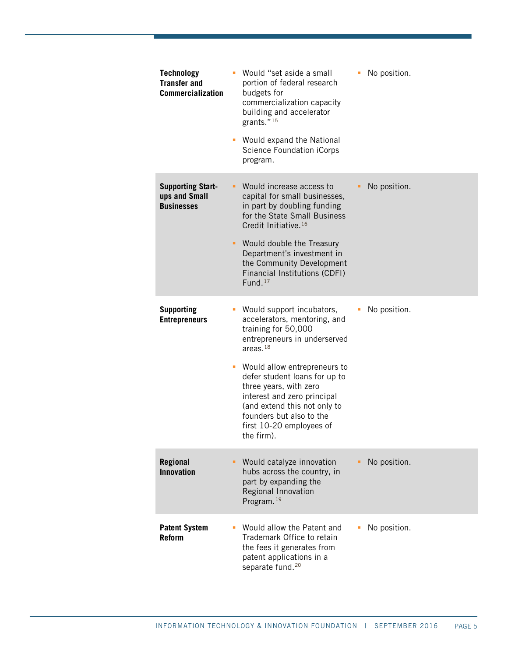| <b>Technology</b><br><b>Transfer and</b><br><b>Commercialization</b> | • Would "set aside a small<br>portion of federal research<br>budgets for<br>commercialization capacity<br>building and accelerator<br>grants." <sup>15</sup><br>Would expand the National<br><b>Science Foundation iCorps</b><br>program.                                                                                                                            | No position.<br>٠ |
|----------------------------------------------------------------------|----------------------------------------------------------------------------------------------------------------------------------------------------------------------------------------------------------------------------------------------------------------------------------------------------------------------------------------------------------------------|-------------------|
| <b>Supporting Start-</b><br>ups and Small<br><b>Businesses</b>       | Would increase access to<br>capital for small businesses,<br>in part by doubling funding<br>for the State Small Business<br>Credit Initiative. <sup>16</sup><br>Would double the Treasury<br>Department's investment in<br>the Community Development<br>Financial Institutions (CDFI)<br>Fund. $17$                                                                  | No position.<br>٠ |
| <b>Supporting</b><br><b>Entrepreneurs</b>                            | Would support incubators,<br>accelerators, mentoring, and<br>training for 50,000<br>entrepreneurs in underserved<br>areas. $18$<br>Would allow entrepreneurs to<br>ш<br>defer student loans for up to<br>three years, with zero<br>interest and zero principal<br>(and extend this not only to<br>founders but also to the<br>first 10-20 employees of<br>the firm). | No position.      |
| <b>Regional</b><br><b>Innovation</b>                                 | Would catalyze innovation<br>hubs across the country, in<br>part by expanding the<br>Regional Innovation<br>Program. <sup>19</sup>                                                                                                                                                                                                                                   | No position.      |
| <b>Patent System</b><br><b>Reform</b>                                | Would allow the Patent and<br>Trademark Office to retain<br>the fees it generates from<br>patent applications in a<br>separate fund. <sup>20</sup>                                                                                                                                                                                                                   | No position.<br>п |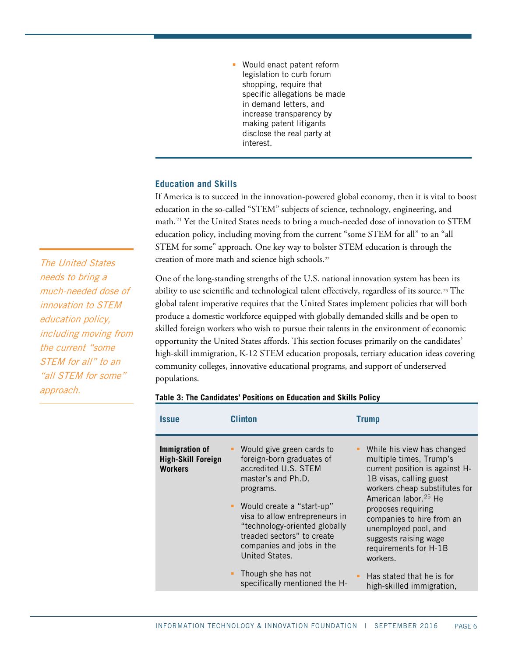Would enact patent reform legislation to curb forum shopping, require that specific allegations be made in demand letters, and increase transparency by making patent litigants disclose the real party at interest.

# **Education and Skills**

If America is to succeed in the innovation-powered global economy, then it is vital to boost education in the so-called "STEM" subjects of science, technology, engineering, and math. [21](#page-29-6) Yet the United States needs to bring a much-needed dose of innovation to STEM education policy, including moving from the current "some STEM for all" to an "all STEM for some" approach. One key way to bolster STEM education is through the creation of more math and science high schools.<sup>[22](#page-29-7)</sup>

One of the long-standing strengths of the U.S. national innovation system has been its ability to use scientific and technological talent effectively, regardless of its source*.*[23](#page-29-8) The global talent imperative requires that the United States implement policies that will both produce a domestic workforce equipped with globally demanded skills and be open to skilled foreign workers who wish to pursue their talents in the environment of economic opportunity the United States affords. This section focuses primarily on the candidates' high-skill immigration, K-12 STEM education proposals, tertiary education ideas covering community colleges, innovative educational programs, and support of underserved populations.

| <i><b>Issue</b></i>                                           | Clinton                                                                                                                                                                                                                                                                                                                                                 | <b>Trump</b>                                                                                                                                                                                                                                                                                                                                                                               |
|---------------------------------------------------------------|---------------------------------------------------------------------------------------------------------------------------------------------------------------------------------------------------------------------------------------------------------------------------------------------------------------------------------------------------------|--------------------------------------------------------------------------------------------------------------------------------------------------------------------------------------------------------------------------------------------------------------------------------------------------------------------------------------------------------------------------------------------|
| Immigration of<br><b>High-Skill Foreign</b><br><b>Workers</b> | Would give green cards to<br>foreign-born graduates of<br>accredited U.S. STEM<br>master's and Ph.D.<br>programs.<br>" Would create a "start-up"<br>visa to allow entrepreneurs in<br>"technology-oriented globally<br>treaded sectors" to create<br>companies and jobs in the<br>United States.<br>Though she has not<br>specifically mentioned the H- | While his view has changed<br>multiple times, Trump's<br>current position is against H-<br>1B visas, calling guest<br>workers cheap substitutes for<br>American labor. <sup>25</sup> He<br>proposes requiring<br>companies to hire from an<br>unemployed pool, and<br>suggests raising wage<br>requirements for H-1B<br>workers.<br>Has stated that he is for<br>high-skilled immigration, |
|                                                               |                                                                                                                                                                                                                                                                                                                                                         |                                                                                                                                                                                                                                                                                                                                                                                            |

#### **Table 3: The Candidates' Positions on Education and Skills Policy**

The United States needs to bring a much-needed dose of innovation to STEM education policy, including moving from the current "some STEM for all" to an "all STEM for some" approach.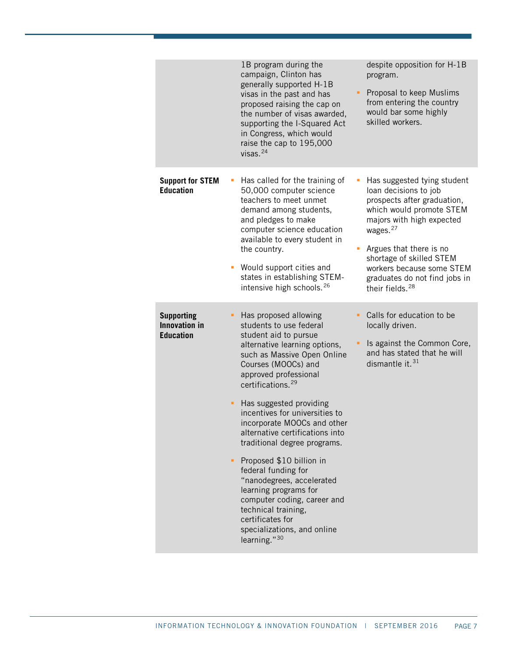|                                                               | despite opposition for H-1B<br>1B program during the<br>campaign, Clinton has<br>program.<br>generally supported H-1B<br>Proposal to keep Muslims<br>٠<br>visas in the past and has<br>from entering the country<br>proposed raising the cap on<br>would bar some highly<br>the number of visas awarded,<br>skilled workers.<br>supporting the I-Squared Act<br>in Congress, which would<br>raise the cap to 195,000<br>visas. $24$                                                                                                                                                                                                                                                                                                                                                   |
|---------------------------------------------------------------|---------------------------------------------------------------------------------------------------------------------------------------------------------------------------------------------------------------------------------------------------------------------------------------------------------------------------------------------------------------------------------------------------------------------------------------------------------------------------------------------------------------------------------------------------------------------------------------------------------------------------------------------------------------------------------------------------------------------------------------------------------------------------------------|
| <b>Support for STEM</b><br><b>Education</b>                   | Has called for the training of<br>Has suggested tying student<br>ш<br>loan decisions to job<br>50,000 computer science<br>teachers to meet unmet<br>prospects after graduation,<br>which would promote STEM<br>demand among students,<br>and pledges to make<br>majors with high expected<br>wages. <sup>27</sup><br>computer science education<br>available to every student in<br>Argues that there is no<br>the country.<br>Ľ,<br>shortage of skilled STEM<br>Would support cities and<br>workers because some STEM<br>states in establishing STEM-<br>graduates do not find jobs in<br>intensive high schools. <sup>26</sup><br>their fields. <sup>28</sup>                                                                                                                       |
| <b>Supporting</b><br><b>Innovation in</b><br><b>Education</b> | Has proposed allowing<br>Calls for education to be<br>students to use federal<br>locally driven.<br>student aid to pursue<br>Is against the Common Core,<br>alternative learning options,<br>and has stated that he will<br>such as Massive Open Online<br>dismantle it. <sup>31</sup><br>Courses (MOOCs) and<br>approved professional<br>certifications. <sup>29</sup><br>Has suggested providing<br>٠<br>incentives for universities to<br>incorporate MOOCs and other<br>alternative certifications into<br>traditional degree programs.<br>Proposed \$10 billion in<br>٠<br>federal funding for<br>"nanodegrees, accelerated<br>learning programs for<br>computer coding, career and<br>technical training,<br>certificates for<br>specializations, and online<br>learning." $30$ |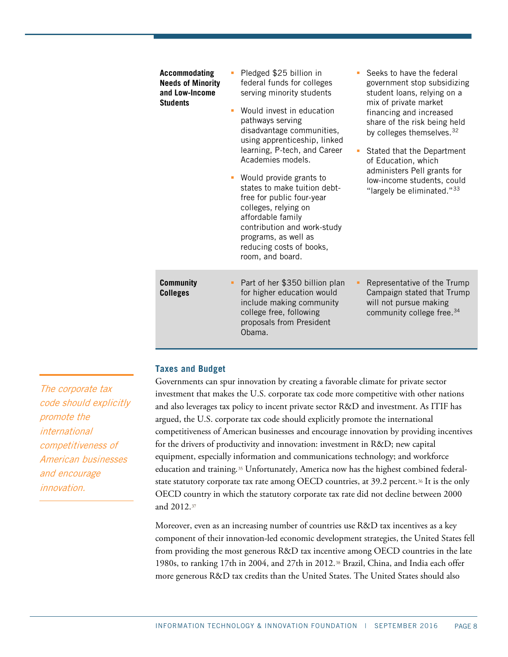| Accommodating<br><b>Needs of Minority</b><br>and Low-Income<br><b>Students</b> | Pledged \$25 billion in<br>federal funds for colleges<br>serving minority students<br>Would invest in education<br>٠<br>pathways serving<br>disadvantage communities,<br>using apprenticeship, linked<br>learning, P-tech, and Career<br>Academies models.<br>Would provide grants to<br>states to make tuition debt-<br>free for public four-year<br>colleges, relying on<br>affordable family<br>contribution and work-study<br>programs, as well as<br>reducing costs of books,<br>room, and board. | Seeks to have the federal<br>government stop subsidizing<br>student loans, relying on a<br>mix of private market<br>financing and increased<br>share of the risk being held<br>by colleges themselves. <sup>32</sup><br>Stated that the Department<br>$\mathbf{r}$<br>of Education, which<br>administers Pell grants for<br>low-income students, could<br>"largely be eliminated." <sup>33</sup> |
|--------------------------------------------------------------------------------|--------------------------------------------------------------------------------------------------------------------------------------------------------------------------------------------------------------------------------------------------------------------------------------------------------------------------------------------------------------------------------------------------------------------------------------------------------------------------------------------------------|--------------------------------------------------------------------------------------------------------------------------------------------------------------------------------------------------------------------------------------------------------------------------------------------------------------------------------------------------------------------------------------------------|
| <b>Community</b><br><b>Colleges</b>                                            | Part of her \$350 billion plan<br>for higher education would<br>include making community<br>college free, following<br>proposals from President<br>Obama.                                                                                                                                                                                                                                                                                                                                              | Representative of the Trump<br>Campaign stated that Trump<br>will not pursue making<br>community college free. 34                                                                                                                                                                                                                                                                                |

## **Taxes and Budget**

Governments can spur innovation by creating a favorable climate for private sector investment that makes the U.S. corporate tax code more competitive with other nations and also leverages tax policy to incent private sector R&D and investment. As ITIF has argued, the U.S. corporate tax code should explicitly promote the international competitiveness of American businesses and encourage innovation by providing incentives for the drivers of productivity and innovation: investment in R&D; new capital equipment, especially information and communications technology; and workforce education and training.<sup>[35](#page-30-2)</sup> Unfortunately, America now has the highest combined federalstate statutory corporate tax rate among OECD countries, at 39.2 percent.[36](#page-30-3) It is the only OECD country in which the statutory corporate tax rate did not decline between 2000 and 2012.[37](#page-30-4)

Moreover, even as an increasing number of countries use R&D tax incentives as a key component of their innovation-led economic development strategies, the United States fell from providing the most generous R&D tax incentive among OECD countries in the late 1980s, to ranking 17th in 2004, and 27th in 2012.[38](#page-30-5) Brazil, China, and India each offer more generous R&D tax credits than the United States. The United States should also

The corporate tax code should explicitly promote the international competitiveness of American businesses and encourage innovation.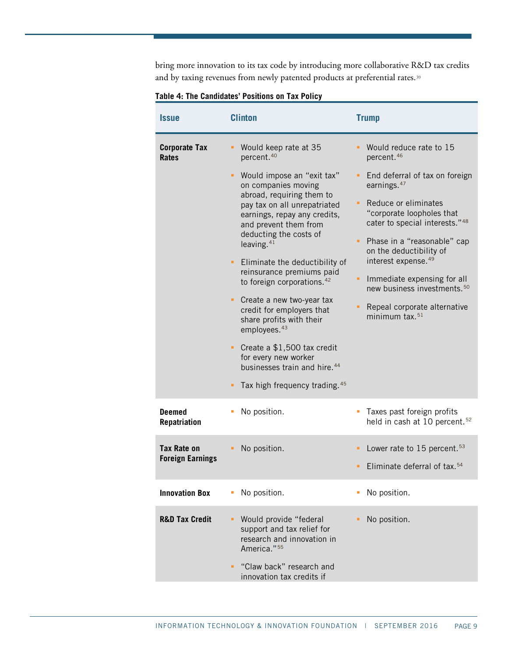bring more innovation to its tax code by introducing more collaborative R&D tax credits and by taxing revenues from newly patented products at preferential rates.<sup>[39](#page-30-6)</sup>

| <b>Clinton</b><br><i><b>Issue</b></i>         |                                                                                                                                                                                                                                                                                                                                                                                                                                                                                                                                                                                                       | <b>Trump</b>                                                                                                                                                                                                                                                                                                                                                                 |  |  |
|-----------------------------------------------|-------------------------------------------------------------------------------------------------------------------------------------------------------------------------------------------------------------------------------------------------------------------------------------------------------------------------------------------------------------------------------------------------------------------------------------------------------------------------------------------------------------------------------------------------------------------------------------------------------|------------------------------------------------------------------------------------------------------------------------------------------------------------------------------------------------------------------------------------------------------------------------------------------------------------------------------------------------------------------------------|--|--|
| <b>Corporate Tax</b><br><b>Rates</b>          | Would keep rate at 35<br>percent. <sup>40</sup>                                                                                                                                                                                                                                                                                                                                                                                                                                                                                                                                                       | Would reduce rate to 15<br>percent. <sup>46</sup>                                                                                                                                                                                                                                                                                                                            |  |  |
|                                               | Would impose an "exit tax"<br>٠<br>on companies moving<br>abroad, requiring them to<br>pay tax on all unrepatriated<br>earnings, repay any credits,<br>and prevent them from<br>deducting the costs of<br>leaving. $41$<br>Eliminate the deductibility of<br>٠<br>reinsurance premiums paid<br>to foreign corporations. <sup>42</sup><br>Create a new two-year tax<br>٠<br>credit for employers that<br>share profits with their<br>employees. <sup>43</sup><br>Create a \$1,500 tax credit<br>for every new worker<br>businesses train and hire. <sup>44</sup><br>Tax high frequency trading 45<br>٠ | End deferral of tax on foreign<br>earnings. <sup>47</sup><br>Reduce or eliminates<br>"corporate loopholes that<br>cater to special interests."48<br>Phase in a "reasonable" cap<br>on the deductibility of<br>interest expense. <sup>49</sup><br>Immediate expensing for all<br>new business investments. <sup>50</sup><br>Repeal corporate alternative<br>minimum tax. $51$ |  |  |
| <b>Deemed</b><br><b>Repatriation</b>          | No position.                                                                                                                                                                                                                                                                                                                                                                                                                                                                                                                                                                                          | Taxes past foreign profits<br>held in cash at 10 percent. <sup>52</sup>                                                                                                                                                                                                                                                                                                      |  |  |
| <b>Tax Rate on</b><br><b>Foreign Earnings</b> | No position.                                                                                                                                                                                                                                                                                                                                                                                                                                                                                                                                                                                          | • Lower rate to 15 percent. <sup>53</sup><br>Eliminate deferral of tax. <sup>54</sup>                                                                                                                                                                                                                                                                                        |  |  |
| <b>Innovation Box</b>                         | No position.                                                                                                                                                                                                                                                                                                                                                                                                                                                                                                                                                                                          | No position.                                                                                                                                                                                                                                                                                                                                                                 |  |  |
| <b>R&amp;D Tax Credit</b>                     | Would provide "federal<br>support and tax relief for<br>research and innovation in<br>America." <sup>55</sup><br>"Claw back" research and<br>innovation tax credits if                                                                                                                                                                                                                                                                                                                                                                                                                                | No position.                                                                                                                                                                                                                                                                                                                                                                 |  |  |

#### **Table 4: The Candidates' Positions on Tax Policy**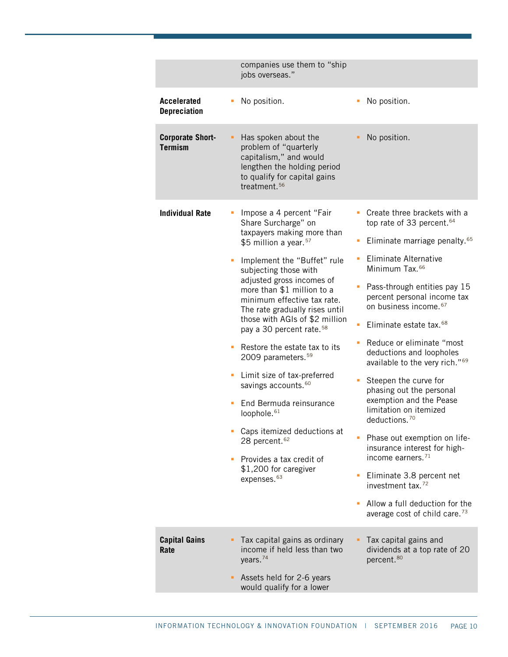|                                           | companies use them to "ship<br>jobs overseas."                                                                                                                                                                                                                                                                                                                                                                                                                                                                                                                                                                                                                                                                               |                                                                                                                                                                                                                                                                                                                                                                                                                                                                                                                                                                                                                                                                                                                                                                                                              |
|-------------------------------------------|------------------------------------------------------------------------------------------------------------------------------------------------------------------------------------------------------------------------------------------------------------------------------------------------------------------------------------------------------------------------------------------------------------------------------------------------------------------------------------------------------------------------------------------------------------------------------------------------------------------------------------------------------------------------------------------------------------------------------|--------------------------------------------------------------------------------------------------------------------------------------------------------------------------------------------------------------------------------------------------------------------------------------------------------------------------------------------------------------------------------------------------------------------------------------------------------------------------------------------------------------------------------------------------------------------------------------------------------------------------------------------------------------------------------------------------------------------------------------------------------------------------------------------------------------|
| <b>Accelerated</b><br><b>Depreciation</b> | No position.                                                                                                                                                                                                                                                                                                                                                                                                                                                                                                                                                                                                                                                                                                                 | No position.                                                                                                                                                                                                                                                                                                                                                                                                                                                                                                                                                                                                                                                                                                                                                                                                 |
| <b>Corporate Short-</b><br><b>Termism</b> | Has spoken about the<br>problem of "quarterly<br>capitalism," and would<br>lengthen the holding period<br>to qualify for capital gains<br>treatment. <sup>56</sup>                                                                                                                                                                                                                                                                                                                                                                                                                                                                                                                                                           | No position.                                                                                                                                                                                                                                                                                                                                                                                                                                                                                                                                                                                                                                                                                                                                                                                                 |
| <b>Individual Rate</b>                    | Impose a 4 percent "Fair<br>Share Surcharge" on<br>taxpayers making more than<br>\$5 million a year. <sup>57</sup><br>Implement the "Buffet" rule<br>subjecting those with<br>adjusted gross incomes of<br>more than \$1 million to a<br>minimum effective tax rate.<br>The rate gradually rises until<br>those with AGIs of \$2 million<br>pay a 30 percent rate. <sup>58</sup><br>Restore the estate tax to its<br>2009 parameters. <sup>59</sup><br>Limit size of tax-preferred<br>٠<br>savings accounts. <sup>60</sup><br>End Bermuda reinsurance<br>loophole. <sup>61</sup><br>Caps itemized deductions at<br>28 percent. <sup>62</sup><br>Provides a tax credit of<br>\$1,200 for caregiver<br>expenses. <sup>63</sup> | Create three brackets with a<br>top rate of 33 percent. <sup>64</sup><br>Eliminate marriage penalty. <sup>65</sup><br><b>Eliminate Alternative</b><br>Minimum Tax. <sup>66</sup><br>Pass-through entities pay 15<br>percent personal income tax<br>on business income. 67<br>Eliminate estate tax. <sup>68</sup><br>Reduce or eliminate "most<br>deductions and loopholes<br>available to the very rich." <sup>69</sup><br>Steepen the curve for<br>phasing out the personal<br>exemption and the Pease<br>limitation on itemized<br>deductions. <sup>70</sup><br>Phase out exemption on life-<br>insurance interest for high-<br>income earners. <sup>71</sup><br>Eliminate 3.8 percent net<br>investment tax. <sup>72</sup><br>Allow a full deduction for the<br>average cost of child care. <sup>73</sup> |
| <b>Capital Gains</b><br>Rate              | Tax capital gains as ordinary<br>income if held less than two<br>years. <sup>74</sup><br>Assets held for 2-6 years<br>would qualify for a lower                                                                                                                                                                                                                                                                                                                                                                                                                                                                                                                                                                              | Tax capital gains and<br>dividends at a top rate of 20<br>percent. <sup>80</sup>                                                                                                                                                                                                                                                                                                                                                                                                                                                                                                                                                                                                                                                                                                                             |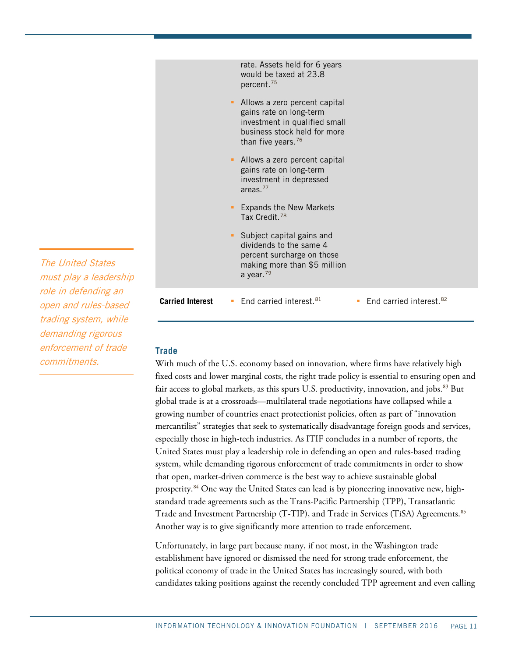|    |                         |   | rate. Assets held for 6 years<br>would be taxed at 23.8<br>percent. <sup>75</sup>                                                                           |    |                                     |
|----|-------------------------|---|-------------------------------------------------------------------------------------------------------------------------------------------------------------|----|-------------------------------------|
|    |                         | ٠ | Allows a zero percent capital<br>gains rate on long-term<br>investment in qualified small<br>business stock held for more<br>than five years. <sup>76</sup> |    |                                     |
|    |                         | ٠ | Allows a zero percent capital<br>gains rate on long-term<br>investment in depressed<br>areas. $77$                                                          |    |                                     |
|    |                         | ٠ | <b>Expands the New Markets</b><br>Tax Credit. <sup>78</sup>                                                                                                 |    |                                     |
|    |                         |   | • Subject capital gains and<br>dividends to the same 4<br>percent surcharge on those<br>making more than \$5 million<br>a year. $79$                        |    |                                     |
| ip |                         |   |                                                                                                                                                             |    |                                     |
|    | <b>Carried Interest</b> |   | <b>End carried interest.</b> $81$                                                                                                                           | a. | End carried interest. <sup>82</sup> |

The United States must play a leadersh role in defending an open and rules-based trading system, while demanding rigorous enforcement of trade commitments.

# **Trade**

With much of the U.S. economy based on innovation, where firms have relatively high fixed costs and lower marginal costs, the right trade policy is essential to ensuring open and fair access to global markets, as this spurs U.S. productivity, innovation, and jobs.<sup>[83](#page-31-28)</sup> But global trade is at a crossroads—multilateral trade negotiations have collapsed while a growing number of countries enact protectionist policies, often as part of "innovation mercantilist" strategies that seek to systematically disadvantage foreign goods and services, especially those in high-tech industries. As ITIF concludes in a number of reports, the United States must play a leadership role in defending an open and rules-based trading system, while demanding rigorous enforcement of trade commitments in order to show that open, market-driven commerce is the best way to achieve sustainable global prosperity.[84](#page-31-29) One way the United States can lead is by pioneering innovative new, highstandard trade agreements such as the Trans-Pacific Partnership (TPP), Transatlantic Trade and Investment Partnership (T-TIP), and Trade in Services (TiSA) Agreements.<sup>[85](#page-32-0)</sup> Another way is to give significantly more attention to trade enforcement.

Unfortunately, in large part because many, if not most, in the Washington trade establishment have ignored or dismissed the need for strong trade enforcement, the political economy of trade in the United States has increasingly soured, with both candidates taking positions against the recently concluded TPP agreement and even calling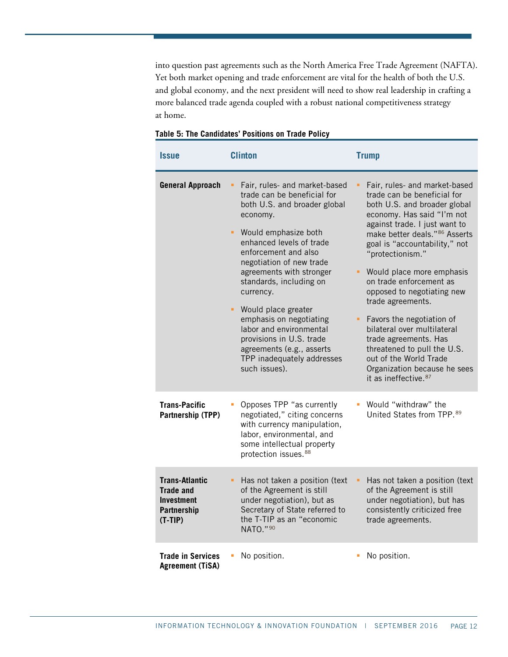into question past agreements such as the North America Free Trade Agreement (NAFTA). Yet both market opening and trade enforcement are vital for the health of both the U.S. and global economy, and the next president will need to show real leadership in crafting a more balanced trade agenda coupled with a robust national competitiveness strategy at home.

| <b>Issue</b>                                                                                      | <b>Clinton</b>                                                                                                                                                                                                                                                                                                                                                                                                                                                                | <b>Trump</b>                                                                                                                                                                                                                                                                                                                                                                                                                                                                                                                                                                   |  |
|---------------------------------------------------------------------------------------------------|-------------------------------------------------------------------------------------------------------------------------------------------------------------------------------------------------------------------------------------------------------------------------------------------------------------------------------------------------------------------------------------------------------------------------------------------------------------------------------|--------------------------------------------------------------------------------------------------------------------------------------------------------------------------------------------------------------------------------------------------------------------------------------------------------------------------------------------------------------------------------------------------------------------------------------------------------------------------------------------------------------------------------------------------------------------------------|--|
| <b>General Approach</b>                                                                           | Fair, rules- and market-based<br>trade can be beneficial for<br>both U.S. and broader global<br>economy.<br>• Would emphasize both<br>enhanced levels of trade<br>enforcement and also<br>negotiation of new trade<br>agreements with stronger<br>standards, including on<br>currency.<br>• Would place greater<br>emphasis on negotiating<br>labor and environmental<br>provisions in U.S. trade<br>agreements (e.g., asserts<br>TPP inadequately addresses<br>such issues). | Fair, rules- and market-based<br>trade can be beneficial for<br>both U.S. and broader global<br>economy. Has said "I'm not<br>against trade. I just want to<br>make better deals."86 Asserts<br>goal is "accountability," not<br>"protectionism."<br>Would place more emphasis<br>on trade enforcement as<br>opposed to negotiating new<br>trade agreements.<br>Favors the negotiation of<br>bilateral over multilateral<br>trade agreements. Has<br>threatened to pull the U.S.<br>out of the World Trade<br>Organization because he sees<br>it as ineffective. <sup>87</sup> |  |
| <b>Trans-Pacific</b><br>Partnership (TPP)                                                         | Opposes TPP "as currently<br>negotiated," citing concerns<br>with currency manipulation,<br>labor, environmental, and<br>some intellectual property<br>protection issues. <sup>88</sup>                                                                                                                                                                                                                                                                                       | Would "withdraw" the<br>United States from TPP. 89                                                                                                                                                                                                                                                                                                                                                                                                                                                                                                                             |  |
| <b>Trans-Atlantic</b><br><b>Trade and</b><br><b>Investment</b><br><b>Partnership</b><br>$(T-TIP)$ | Has not taken a position (text<br>٠<br>of the Agreement is still<br>under negotiation), but as<br>Secretary of State referred to<br>the T-TIP as an "economic<br>NATO."90                                                                                                                                                                                                                                                                                                     | Has not taken a position (text<br>of the Agreement is still<br>under negotiation), but has<br>consistently criticized free<br>trade agreements.                                                                                                                                                                                                                                                                                                                                                                                                                                |  |
| <b>Trade in Services</b><br><b>Agreement (TiSA)</b>                                               | No position.                                                                                                                                                                                                                                                                                                                                                                                                                                                                  | No position.                                                                                                                                                                                                                                                                                                                                                                                                                                                                                                                                                                   |  |

#### **Table 5: The Candidates' Positions on Trade Policy**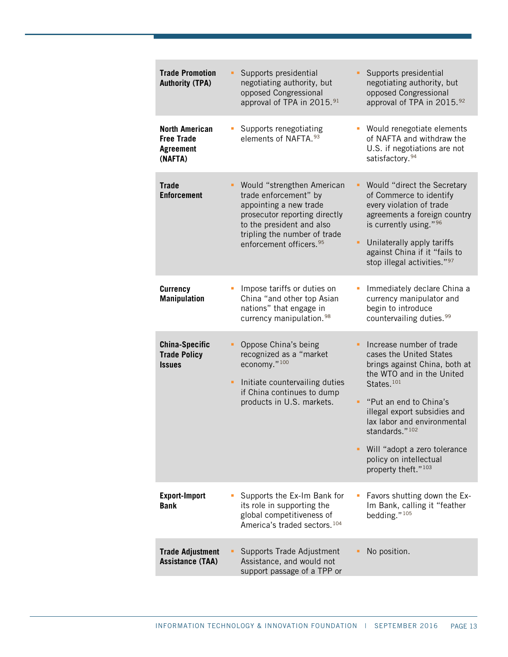| <b>Trade Promotion</b><br><b>Authority (TPA)</b>                          | Supports presidential<br>negotiating authority, but<br>opposed Congressional<br>approval of TPA in 2015. <sup>91</sup>                                                                                             | Supports presidential<br>negotiating authority, but<br>opposed Congressional<br>approval of TPA in 2015.92                                                                                                                                                                                                                                                 |
|---------------------------------------------------------------------------|--------------------------------------------------------------------------------------------------------------------------------------------------------------------------------------------------------------------|------------------------------------------------------------------------------------------------------------------------------------------------------------------------------------------------------------------------------------------------------------------------------------------------------------------------------------------------------------|
| <b>North American</b><br><b>Free Trade</b><br><b>Agreement</b><br>(NAFTA) | Supports renegotiating<br>elements of NAFTA. 93                                                                                                                                                                    | Would renegotiate elements<br>of NAFTA and withdraw the<br>U.S. if negotiations are not<br>satisfactory. <sup>94</sup>                                                                                                                                                                                                                                     |
| <b>Trade</b><br><b>Enforcement</b>                                        | Would "strengthen American<br>trade enforcement" by<br>appointing a new trade<br>prosecutor reporting directly<br>to the president and also<br>tripling the number of trade<br>enforcement officers. <sup>95</sup> | Would "direct the Secretary<br>٠<br>of Commerce to identify<br>every violation of trade<br>agreements a foreign country<br>is currently using." 96<br>Unilaterally apply tariffs<br>٠<br>against China if it "fails to<br>stop illegal activities."97                                                                                                      |
| <b>Currency</b><br><b>Manipulation</b>                                    | Impose tariffs or duties on<br>China "and other top Asian<br>nations" that engage in<br>currency manipulation. <sup>98</sup>                                                                                       | Immediately declare China a<br>currency manipulator and<br>begin to introduce<br>countervailing duties. <sup>99</sup>                                                                                                                                                                                                                                      |
| <b>China-Specific</b><br><b>Trade Policy</b><br><i><b>Issues</b></i>      | Oppose China's being<br>recognized as a "market<br>economy."100<br>Initiate countervailing duties<br>٠<br>if China continues to dump<br>products in U.S. markets.                                                  | Increase number of trade<br>cases the United States<br>brings against China, both at<br>the WTO and in the United<br>States. <sup>101</sup><br>"Put an end to China's<br>٠<br>illegal export subsidies and<br>lax labor and environmental<br>standards."102<br>• Will "adopt a zero tolerance<br>policy on intellectual<br>property theft." <sup>103</sup> |
| <b>Export-Import</b><br><b>Bank</b>                                       | Supports the Ex-Im Bank for<br>its role in supporting the<br>global competitiveness of<br>America's traded sectors. <sup>104</sup>                                                                                 | Favors shutting down the Ex-<br>Im Bank, calling it "feather<br>bedding."105                                                                                                                                                                                                                                                                               |
| <b>Trade Adjustment</b><br><b>Assistance (TAA)</b>                        | Supports Trade Adjustment<br>Assistance, and would not<br>support passage of a TPP or                                                                                                                              | No position.                                                                                                                                                                                                                                                                                                                                               |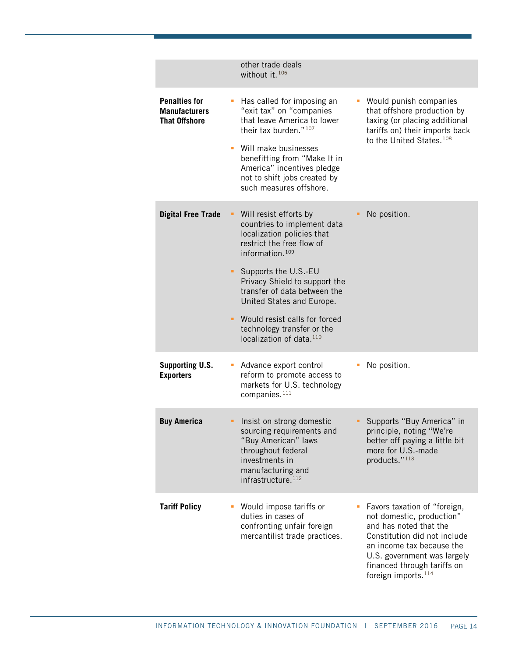|                                                                      | other trade deals<br>without it. <sup>106</sup>                                                                                                                                                                                                                                                                                                                                     |                                                                                                                                                                                                                                                   |
|----------------------------------------------------------------------|-------------------------------------------------------------------------------------------------------------------------------------------------------------------------------------------------------------------------------------------------------------------------------------------------------------------------------------------------------------------------------------|---------------------------------------------------------------------------------------------------------------------------------------------------------------------------------------------------------------------------------------------------|
| <b>Penalties for</b><br><b>Manufacturers</b><br><b>That Offshore</b> | Has called for imposing an<br>"exit tax" on "companies<br>that leave America to lower<br>their tax burden." <sup>107</sup><br>• Will make businesses<br>benefitting from "Make It in<br>America" incentives pledge<br>not to shift jobs created by<br>such measures offshore.                                                                                                       | Would punish companies<br>that offshore production by<br>taxing (or placing additional<br>tariffs on) their imports back<br>to the United States. <sup>108</sup>                                                                                  |
| <b>Digital Free Trade</b>                                            | • Will resist efforts by<br>countries to implement data<br>localization policies that<br>restrict the free flow of<br>information. <sup>109</sup><br>Supports the U.S.-EU<br>Privacy Shield to support the<br>transfer of data between the<br>United States and Europe.<br>Would resist calls for forced<br>٠<br>technology transfer or the<br>localization of data. <sup>110</sup> | No position.                                                                                                                                                                                                                                      |
| <b>Supporting U.S.</b><br><b>Exporters</b>                           | Advance export control<br>reform to promote access to<br>markets for U.S. technology<br>companies. <sup>111</sup>                                                                                                                                                                                                                                                                   | No position.                                                                                                                                                                                                                                      |
| <b>Buy America</b>                                                   | Insist on strong domestic<br>sourcing requirements and<br>"Buy American" laws<br>throughout federal<br>investments in<br>manufacturing and<br>infrastructure. <sup>112</sup>                                                                                                                                                                                                        | Supports "Buy America" in<br>principle, noting "We're<br>better off paying a little bit<br>more for U.S.-made<br>products."113                                                                                                                    |
| <b>Tariff Policy</b>                                                 | Would impose tariffs or<br>duties in cases of<br>confronting unfair foreign<br>mercantilist trade practices.                                                                                                                                                                                                                                                                        | Favors taxation of "foreign,<br>not domestic, production"<br>and has noted that the<br>Constitution did not include<br>an income tax because the<br>U.S. government was largely<br>financed through tariffs on<br>foreign imports. <sup>114</sup> |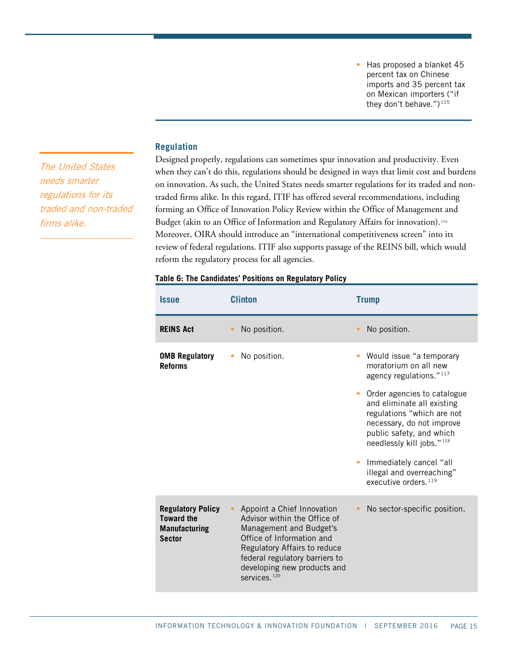Has proposed a blanket 45 percent tax on Chinese imports and 35 percent tax on Mexican importers ("if they don't behave.")<sup>[115](#page-33-15)</sup>

#### **Regulation**

The United States needs smarter regulations for its traded and non-traded firms alike.

Designed properly, regulations can sometimes spur innovation and productivity. Even when they can't do this, regulations should be designed in ways that limit cost and burdens on innovation. As such, the United States needs smarter regulations for its traded and nontraded firms alike. In this regard, ITIF has offered several recommendations, including forming an Office of Innovation Policy Review within the Office of Management and Budget (akin to an Office of Information and Regulatory Affairs for innovation).<sup>[116](#page-33-16)</sup> Moreover, OIRA should introduce an "international competitiveness screen" into its review of federal regulations. ITIF also supports passage of the REINS bill, which would reform the regulatory process for all agencies.

| Table 6: The Candidates' Positions on Regulatory Policy |  |  |
|---------------------------------------------------------|--|--|
|---------------------------------------------------------|--|--|

| <b>Issue</b>                                                                           | <b>Clinton</b>                                                                                                                                                                                                                        | <b>Trump</b>                                                                                                                                                                                                                                                                                                                                                    |
|----------------------------------------------------------------------------------------|---------------------------------------------------------------------------------------------------------------------------------------------------------------------------------------------------------------------------------------|-----------------------------------------------------------------------------------------------------------------------------------------------------------------------------------------------------------------------------------------------------------------------------------------------------------------------------------------------------------------|
| <b>REINS Act</b>                                                                       | No position.                                                                                                                                                                                                                          | No position.                                                                                                                                                                                                                                                                                                                                                    |
| <b>OMB Regulatory</b><br><b>Reforms</b>                                                | No position.<br>I.                                                                                                                                                                                                                    | Would issue "a temporary<br>moratorium on all new<br>agency regulations." $117$<br>Order agencies to catalogue<br>and eliminate all existing<br>regulations "which are not<br>necessary, do not improve<br>public safety, and which<br>needlessly kill jobs." <sup>118</sup><br>Immediately cancel "all<br>illegal and overreaching"<br>executive orders. $119$ |
| <b>Regulatory Policy</b><br><b>Toward the</b><br><b>Manufacturing</b><br><b>Sector</b> | Appoint a Chief Innovation<br>Advisor within the Office of<br>Management and Budget's<br>Office of Information and<br>Regulatory Affairs to reduce<br>federal regulatory barriers to<br>developing new products and<br>services $120$ | No sector-specific position.                                                                                                                                                                                                                                                                                                                                    |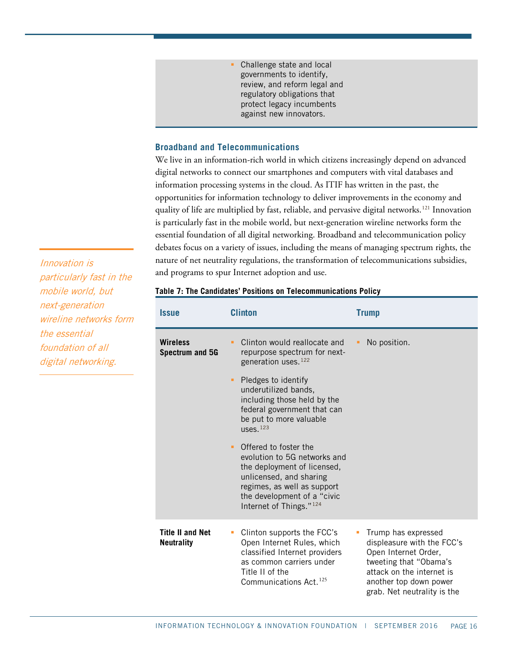Challenge state and local governments to identify, review, and reform legal and regulatory obligations that protect legacy incumbents against new innovators.

#### **Broadband and Telecommunications**

We live in an information-rich world in which citizens increasingly depend on advanced digital networks to connect our smartphones and computers with vital databases and information processing systems in the cloud. As ITIF has written in the past, the opportunities for information technology to deliver improvements in the economy and quality of life are multiplied by fast, reliable, and pervasive digital networks.<sup>[121](#page-33-21)</sup> Innovation is particularly fast in the mobile world, but next-generation wireline networks form the essential foundation of all digital networking. Broadband and telecommunication policy debates focus on a variety of issues, including the means of managing spectrum rights, the nature of net neutrality regulations, the transformation of telecommunications subsidies, and programs to spur Internet adoption and use.

Innovation is particularly fast in the mobile world, but next-generation wireline networks form the essential foundation of all digital networking.

#### **Table 7: The Candidates' Positions on Telecommunications Policy**

| <i><b>Issue</b></i>                          | <b>Clinton</b>                                                                                                                                                                                                            | <b>Trump</b>                                                                                                                                                                              |
|----------------------------------------------|---------------------------------------------------------------------------------------------------------------------------------------------------------------------------------------------------------------------------|-------------------------------------------------------------------------------------------------------------------------------------------------------------------------------------------|
| <b>Wireless</b><br><b>Spectrum and 5G</b>    | Clinton would reallocate and<br>repurpose spectrum for next-<br>generation uses. <sup>122</sup>                                                                                                                           | No position.                                                                                                                                                                              |
|                                              | Pledges to identify<br>٠<br>underutilized bands,<br>including those held by the<br>federal government that can<br>be put to more valuable<br>uses. $123$                                                                  |                                                                                                                                                                                           |
|                                              | Offered to foster the<br>٠<br>evolution to 5G networks and<br>the deployment of licensed,<br>unlicensed, and sharing<br>regimes, as well as support<br>the development of a "civic<br>Internet of Things." <sup>124</sup> |                                                                                                                                                                                           |
| <b>Title II and Net</b><br><b>Neutrality</b> | Clinton supports the FCC's<br>Open Internet Rules, which<br>classified Internet providers<br>as common carriers under<br>Title II of the<br>Communications Act. <sup>125</sup>                                            | Trump has expressed<br>displeasure with the FCC's<br>Open Internet Order,<br>tweeting that "Obama's<br>attack on the internet is<br>another top down power<br>grab. Net neutrality is the |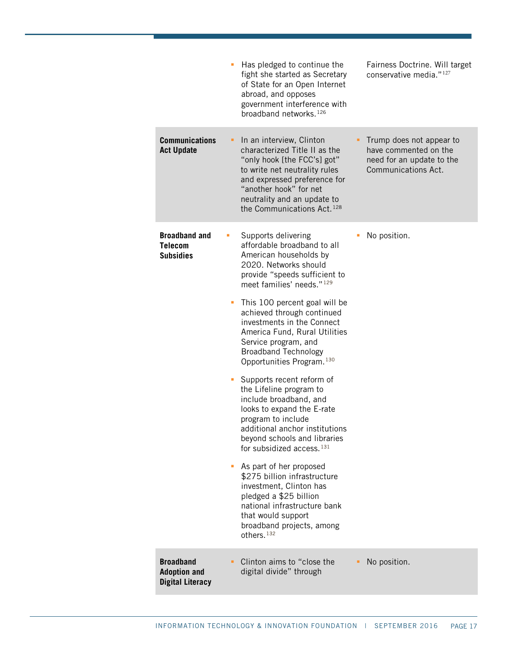|                                                                    | Has pledged to continue the<br>Fairness Doctrine. Will target<br>I.<br>fight she started as Secretary<br>conservative media." <sup>127</sup><br>of State for an Open Internet<br>abroad, and opposes<br>government interference with<br>broadband networks. <sup>126</sup>                                                                                                                                                                                                                                                                                                                                                                                                                                                                                                                                                                                                                                      |
|--------------------------------------------------------------------|-----------------------------------------------------------------------------------------------------------------------------------------------------------------------------------------------------------------------------------------------------------------------------------------------------------------------------------------------------------------------------------------------------------------------------------------------------------------------------------------------------------------------------------------------------------------------------------------------------------------------------------------------------------------------------------------------------------------------------------------------------------------------------------------------------------------------------------------------------------------------------------------------------------------|
| <b>Communications</b><br><b>Act Update</b>                         | In an interview, Clinton<br>Trump does not appear to<br>٠<br>characterized Title II as the<br>have commented on the<br>"only hook [the FCC's] got"<br>need for an update to the<br>Communications Act.<br>to write net neutrality rules<br>and expressed preference for<br>"another hook" for net<br>neutrality and an update to<br>the Communications Act. <sup>128</sup>                                                                                                                                                                                                                                                                                                                                                                                                                                                                                                                                      |
| <b>Broadband and</b><br><b>Telecom</b><br><b>Subsidies</b>         | No position.<br>Supports delivering<br>Ш<br>affordable broadband to all<br>American households by<br>2020. Networks should<br>provide "speeds sufficient to<br>meet families' needs." <sup>129</sup><br>This 100 percent goal will be<br>ш<br>achieved through continued<br>investments in the Connect<br>America Fund, Rural Utilities<br>Service program, and<br><b>Broadband Technology</b><br>Opportunities Program. 130<br>Supports recent reform of<br>the Lifeline program to<br>include broadband, and<br>looks to expand the E-rate<br>program to include<br>additional anchor institutions<br>beyond schools and libraries<br>for subsidized access. <sup>131</sup><br>As part of her proposed<br>ш<br>\$275 billion infrastructure<br>investment, Clinton has<br>pledged a \$25 billion<br>national infrastructure bank<br>that would support<br>broadband projects, among<br>others. <sup>132</sup> |
| <b>Broadband</b><br><b>Adoption and</b><br><b>Digital Literacy</b> | Clinton aims to "close the<br>No position.<br>digital divide" through                                                                                                                                                                                                                                                                                                                                                                                                                                                                                                                                                                                                                                                                                                                                                                                                                                           |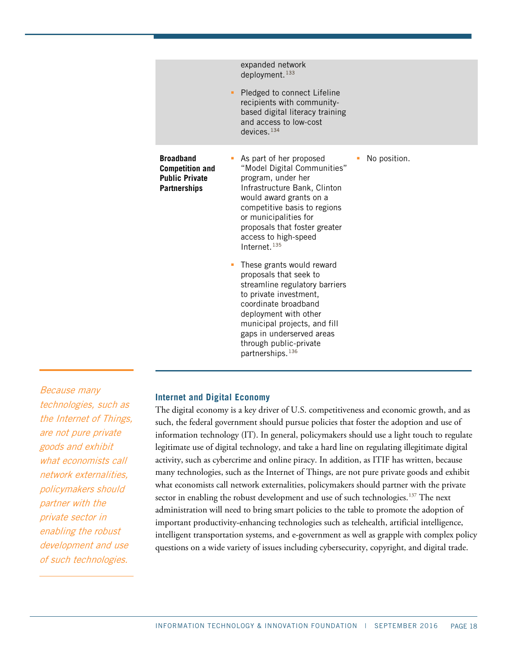|                                                                                            | expanded network<br>deployment. <sup>133</sup>                                                                                                                                                                                                                                                        |  |
|--------------------------------------------------------------------------------------------|-------------------------------------------------------------------------------------------------------------------------------------------------------------------------------------------------------------------------------------------------------------------------------------------------------|--|
|                                                                                            | Pledged to connect Lifeline<br>ш.<br>recipients with community-<br>based digital literacy training<br>and access to low-cost<br>devices. $134$                                                                                                                                                        |  |
| <b>Broadband</b><br><b>Competition and</b><br><b>Public Private</b><br><b>Partnerships</b> | As part of her proposed<br>No position.<br>"Model Digital Communities"<br>program, under her<br>Infrastructure Bank, Clinton<br>would award grants on a<br>competitive basis to regions<br>or municipalities for<br>proposals that foster greater<br>access to high-speed<br>Internet. <sup>135</sup> |  |
|                                                                                            | These grants would reward<br>ш<br>proposals that seek to<br>streamline regulatory barriers<br>to private investment,<br>coordinate broadband<br>deployment with other<br>municipal projects, and fill<br>gaps in underserved areas<br>through public-private<br>partnerships. <sup>136</sup>          |  |

# Because many technologies, such as the Internet of Things, are not pure private goods and exhibit what economists call network externalities, policymakers should partner with the private sector in enabling the robust development and use of such technologies.

#### **Internet and Digital Economy**

The digital economy is a key driver of U.S. competitiveness and economic growth, and as such, the federal government should pursue policies that foster the adoption and use of information technology (IT). In general, policymakers should use a light touch to regulate legitimate use of digital technology, and take a hard line on regulating illegitimate digital activity, such as cybercrime and online piracy. In addition, as ITIF has written, because many technologies, such as the Internet of Things, are not pure private goods and exhibit what economists call network externalities, policymakers should partner with the private sector in enabling the robust development and use of such technologies.<sup>[137](#page-34-12)</sup> The next administration will need to bring smart policies to the table to promote the adoption of important productivity-enhancing technologies such as telehealth, artificial intelligence, intelligent transportation systems, and e-government as well as grapple with complex policy questions on a wide variety of issues including cybersecurity, copyright, and digital trade.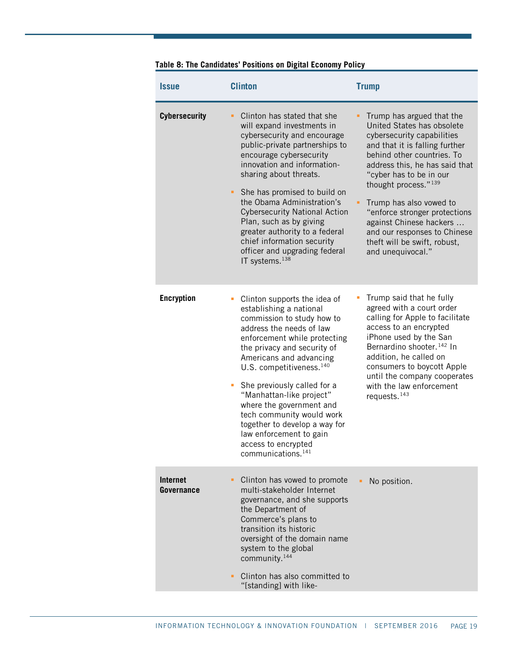| <b>Issue</b>                  | <b>Clinton</b>                                                                                                                                                                                                                                                                                                                                                                                                                                                                                    | <b>Trump</b>                                                                                                                                                                                                                                                                                                                                                                                                                       |
|-------------------------------|---------------------------------------------------------------------------------------------------------------------------------------------------------------------------------------------------------------------------------------------------------------------------------------------------------------------------------------------------------------------------------------------------------------------------------------------------------------------------------------------------|------------------------------------------------------------------------------------------------------------------------------------------------------------------------------------------------------------------------------------------------------------------------------------------------------------------------------------------------------------------------------------------------------------------------------------|
| <b>Cybersecurity</b>          | Clinton has stated that she<br>٠<br>will expand investments in<br>cybersecurity and encourage<br>public-private partnerships to<br>encourage cybersecurity<br>innovation and information-<br>sharing about threats.<br>She has promised to build on<br>٠<br>the Obama Administration's<br><b>Cybersecurity National Action</b><br>Plan, such as by giving<br>greater authority to a federal<br>chief information security<br>officer and upgrading federal<br>IT systems. <sup>138</sup>          | Trump has argued that the<br>United States has obsolete<br>cybersecurity capabilities<br>and that it is falling further<br>behind other countries. To<br>address this, he has said that<br>"cyber has to be in our<br>thought process." <sup>139</sup><br>Trump has also vowed to<br>"enforce stronger protections<br>against Chinese hackers<br>and our responses to Chinese<br>theft will be swift, robust,<br>and unequivocal." |
| <b>Encryption</b>             | Clinton supports the idea of<br>establishing a national<br>commission to study how to<br>address the needs of law<br>enforcement while protecting<br>the privacy and security of<br>Americans and advancing<br>U.S. competitiveness. <sup>140</sup><br>She previously called for a<br>٠<br>"Manhattan-like project"<br>where the government and<br>tech community would work<br>together to develop a way for<br>law enforcement to gain<br>access to encrypted<br>communications. <sup>141</sup> | Trump said that he fully<br>agreed with a court order<br>calling for Apple to facilitate<br>access to an encrypted<br>iPhone used by the San<br>Bernardino shooter. <sup>142</sup> In<br>addition, he called on<br>consumers to boycott Apple<br>until the company cooperates<br>with the law enforcement<br>requests. <sup>143</sup>                                                                                              |
| <b>Internet</b><br>Governance | Clinton has vowed to promote<br>٠<br>multi-stakeholder Internet<br>governance, and she supports<br>the Department of<br>Commerce's plans to<br>transition its historic<br>oversight of the domain name<br>system to the global<br>community. <sup>144</sup><br>Clinton has also committed to<br>٠<br>"[standing] with like-                                                                                                                                                                       | No position.                                                                                                                                                                                                                                                                                                                                                                                                                       |

# **Table 8: The Candidates' Positions on Digital Economy Policy**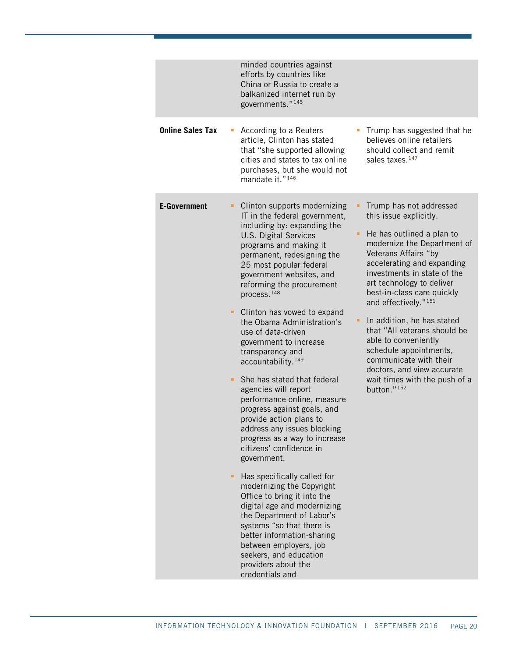|                         | minded countries against<br>efforts by countries like<br>China or Russia to create a<br>balkanized internet run by<br>governments." <sup>145</sup>                                                                                                                                                                                                                                                                                                                                                                                                                                                     |
|-------------------------|--------------------------------------------------------------------------------------------------------------------------------------------------------------------------------------------------------------------------------------------------------------------------------------------------------------------------------------------------------------------------------------------------------------------------------------------------------------------------------------------------------------------------------------------------------------------------------------------------------|
| <b>Online Sales Tax</b> | According to a Reuters<br>Trump has suggested that he<br>believes online retailers<br>article, Clinton has stated<br>that "she supported allowing<br>should collect and remit<br>cities and states to tax online<br>sales taxes. <sup>147</sup><br>purchases, but she would not<br>mandate it." <sup>146</sup>                                                                                                                                                                                                                                                                                         |
| <b>E-Government</b>     | Clinton supports modernizing<br>Trump has not addressed<br>IT in the federal government,<br>this issue explicitly.<br>including by: expanding the<br>He has outlined a plan to<br>٠<br>U.S. Digital Services<br>modernize the Department of<br>programs and making it<br>Veterans Affairs "by<br>permanent, redesigning the<br>accelerating and expanding<br>25 most popular federal<br>investments in state of the<br>government websites, and<br>art technology to deliver<br>reforming the procurement<br>best-in-class care quickly<br>process. <sup>148</sup><br>and effectively." <sup>151</sup> |
|                         | Clinton has vowed to expand<br>٠.<br>In addition, he has stated<br>the Obama Administration's<br>that "All veterans should be<br>use of data-driven<br>able to conveniently<br>government to increase<br>schedule appointments,<br>transparency and<br>communicate with their<br>accountability. <sup>149</sup><br>doctors, and view accurate                                                                                                                                                                                                                                                          |
|                         | She has stated that federal<br>wait times with the push of a<br>٠<br>button." <sup>152</sup><br>agencies will report<br>performance online, measure<br>progress against goals, and<br>provide action plans to<br>address any issues blocking<br>progress as a way to increase<br>citizens' confidence in<br>government.                                                                                                                                                                                                                                                                                |
|                         | Has specifically called for<br>modernizing the Copyright<br>Office to bring it into the<br>digital age and modernizing<br>the Department of Labor's<br>systems "so that there is<br>better information-sharing<br>between employers, job<br>seekers, and education<br>providers about the<br>credentials and                                                                                                                                                                                                                                                                                           |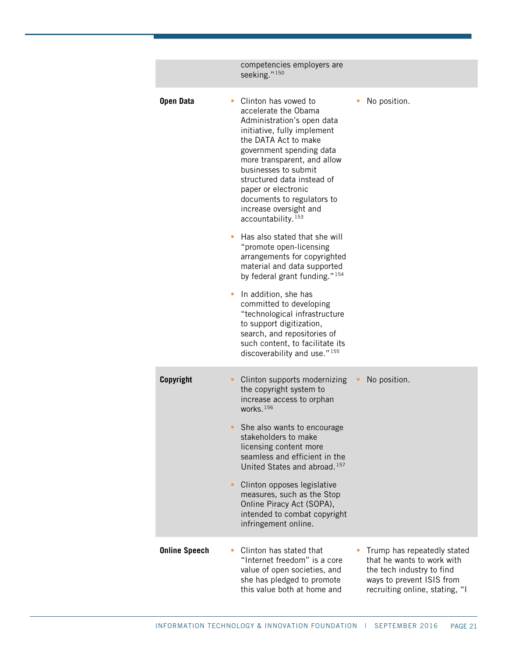|                      | competencies employers are<br>seeking." <sup>150</sup>                                                                                                                                                                                                                                                                                                                                      |
|----------------------|---------------------------------------------------------------------------------------------------------------------------------------------------------------------------------------------------------------------------------------------------------------------------------------------------------------------------------------------------------------------------------------------|
| <b>Open Data</b>     | • Clinton has vowed to<br>No position.<br>u,<br>accelerate the Obama<br>Administration's open data<br>initiative, fully implement<br>the DATA Act to make<br>government spending data<br>more transparent, and allow<br>businesses to submit<br>structured data instead of<br>paper or electronic<br>documents to regulators to<br>increase oversight and<br>accountability. <sup>153</sup> |
|                      | Has also stated that she will<br>"promote open-licensing<br>arrangements for copyrighted<br>material and data supported<br>by federal grant funding." <sup>154</sup>                                                                                                                                                                                                                        |
|                      | In addition, she has<br>committed to developing<br>"technological infrastructure<br>to support digitization,<br>search, and repositories of<br>such content, to facilitate its<br>discoverability and use." <sup>155</sup>                                                                                                                                                                  |
| Copyright            | Clinton supports modernizing<br>No position.<br>٠<br>the copyright system to<br>increase access to orphan<br>works. $156$                                                                                                                                                                                                                                                                   |
|                      | She also wants to encourage<br>stakeholders to make<br>licensing content more<br>seamless and efficient in the<br>United States and abroad. <sup>157</sup>                                                                                                                                                                                                                                  |
|                      | Clinton opposes legislative<br>measures, such as the Stop<br>Online Piracy Act (SOPA),<br>intended to combat copyright<br>infringement online.                                                                                                                                                                                                                                              |
| <b>Online Speech</b> | Clinton has stated that<br>Trump has repeatedly stated<br>"Internet freedom" is a core<br>that he wants to work with<br>value of open societies, and<br>the tech industry to find<br>she has pledged to promote<br>ways to prevent ISIS from<br>this value both at home and<br>recruiting online, stating, "I                                                                               |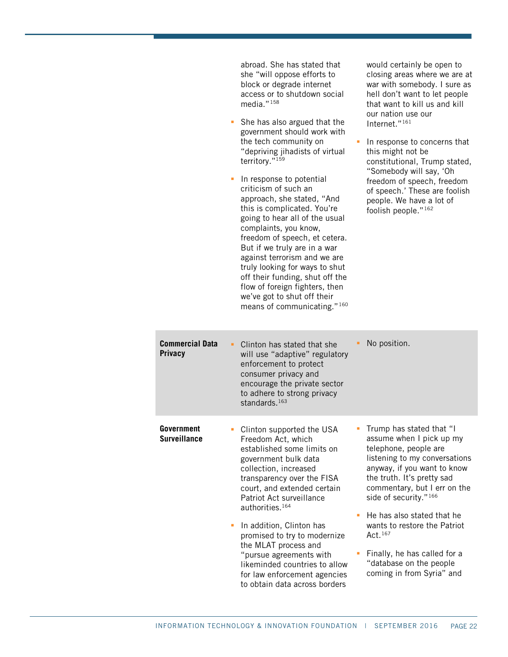| abroad. She has stated that  |  |  |
|------------------------------|--|--|
| she "will oppose efforts to  |  |  |
| block or degrade internet    |  |  |
| access or to shutdown social |  |  |
| media. $"158$                |  |  |

- **She has also argued that the** government should work with the tech community on "depriving jihadists of virtual territory."[159](#page-35-8)
- In response to potential criticism of such an approach, she stated, "And this is complicated. You're going to hear all of the usual complaints, you know, freedom of speech, et cetera. But if we truly are in a war against terrorism and we are truly looking for ways to shut off their funding, shut off the flow of foreign fighters, then we've got to shut off their means of communicating." [160](#page-35-9)

would certainly be open to closing areas where we are at war with somebody. I sure as hell don't want to let people that want to kill us and kill our nation use our Internet."[161](#page-35-10)

In response to concerns that this might not be constitutional, Trump stated, "Somebody will say, 'Oh freedom of speech, freedom of speech.' These are foolish people. We have a lot of foolish people."[162](#page-35-11)

| <b>Commercial Data</b><br><b>Privacy</b> | No position.<br>Clinton has stated that she<br>will use "adaptive" regulatory<br>enforcement to protect<br>consumer privacy and<br>encourage the private sector<br>to adhere to strong privacy<br>standards. <sup>163</sup>                                                                                                                                                                                                                                                                                |
|------------------------------------------|------------------------------------------------------------------------------------------------------------------------------------------------------------------------------------------------------------------------------------------------------------------------------------------------------------------------------------------------------------------------------------------------------------------------------------------------------------------------------------------------------------|
| <b>Government</b><br><b>Surveillance</b> | Trump has stated that "I<br>Clinton supported the USA<br>assume when I pick up my<br>Freedom Act, which<br>telephone, people are<br>established some limits on<br>listening to my conversations<br>government bulk data<br>anyway, if you want to know<br>collection, increased<br>the truth. It's pretty sad<br>transparency over the FISA<br>commentary, but I err on the<br>court, and extended certain<br>side of security." <sup>166</sup><br>Patriot Act surveillance<br>authorities. <sup>164</sup> |
|                                          | He has also stated that he<br>In addition, Clinton has<br>wants to restore the Patriot<br>Act. 167<br>promised to try to modernize<br>the MLAT process and<br>Finally, he has called for a<br>"pursue agreements with<br>"database on the people<br>likeminded countries to allow<br>coming in from Syria" and<br>for law enforcement agencies<br>to obtain data across borders                                                                                                                            |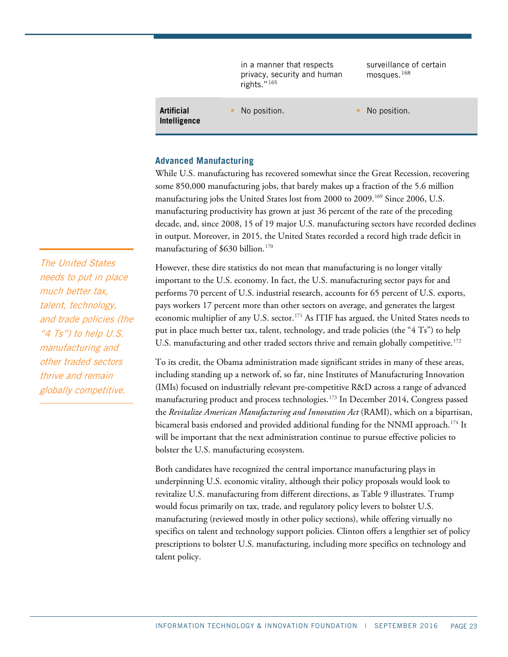|                            | in a manner that respects<br>privacy, security and human<br>rights." $165$ | surveillance of certain<br>mosques. <sup>168</sup> |
|----------------------------|----------------------------------------------------------------------------|----------------------------------------------------|
| Artificial<br>Intelligence | No position.                                                               | No position.                                       |

#### **Advanced Manufacturing**

While U.S. manufacturing has recovered somewhat since the Great Recession, recovering some 850,000 manufacturing jobs, that barely makes up a fraction of the 5.6 million manufacturing jobs the United States lost from 2000 to 2009.<sup>[169](#page-35-18)</sup> Since 2006, U.S. manufacturing productivity has grown at just 36 percent of the rate of the preceding decade, and, since 2008, 15 of 19 major U.S. manufacturing sectors have recorded declines in output. Moreover, in 2015, the United States recorded a record high trade deficit in manufacturing of \$630 billion.<sup>[170](#page-35-19)</sup>

However, these dire statistics do not mean that manufacturing is no longer vitally important to the U.S. economy. In fact, the U.S. manufacturing sector pays for and performs 70 percent of U.S. industrial research, accounts for 65 percent of U.S. exports, pays workers 17 percent more than other sectors on average, and generates the largest economic multiplier of any U.S. sector.<sup>[171](#page-35-20)</sup> As ITIF has argued, the United States needs to put in place much better tax, talent, technology, and trade policies (the "4 Ts") to help U.S. manufacturing and other traded sectors thrive and remain globally competitive.<sup>[172](#page-35-21)</sup>

To its credit, the Obama administration made significant strides in many of these areas, including standing up a network of, so far, nine Institutes of Manufacturing Innovation (IMIs) focused on industrially relevant pre-competitive R&D across a range of advanced manufacturing product and process technologies.[173](#page-36-0) In December 2014, Congress passed the *Revitalize American Manufacturing and Innovation Act* (RAMI), which on a bipartisan, bicameral basis endorsed and provided additional funding for the NNMI approach.<sup>[174](#page-36-1)</sup> It will be important that the next administration continue to pursue effective policies to bolster the U.S. manufacturing ecosystem.

Both candidates have recognized the central importance manufacturing plays in underpinning U.S. economic vitality, although their policy proposals would look to revitalize U.S. manufacturing from different directions, as [Table 9](#page-23-0) illustrates. Trump would focus primarily on tax, trade, and regulatory policy levers to bolster U.S. manufacturing (reviewed mostly in other policy sections), while offering virtually no specifics on talent and technology support policies. Clinton offers a lengthier set of policy prescriptions to bolster U.S. manufacturing, including more specifics on technology and talent policy.

The United States needs to put in place much better tax, talent, technology, and trade policies (the "4 Ts") to help U.S. manufacturing and other traded sectors thrive and remain globally competitive.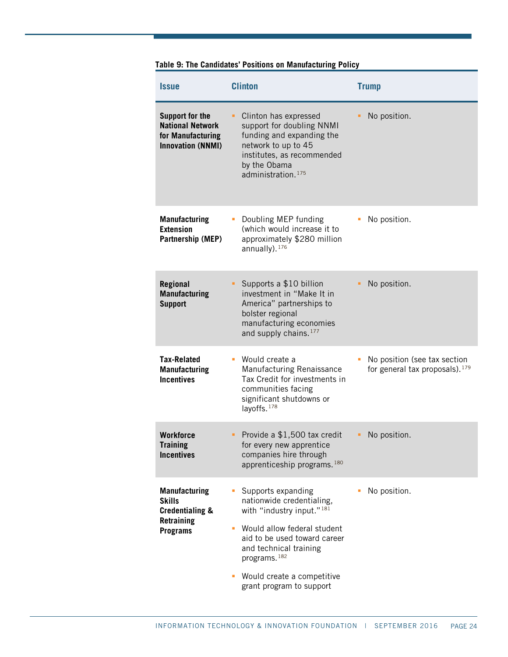| <b>Issue</b>                                                                                         | <b>Clinton</b>                                                                                                                                                                                                                                                                          | <b>Trump</b>                                                               |
|------------------------------------------------------------------------------------------------------|-----------------------------------------------------------------------------------------------------------------------------------------------------------------------------------------------------------------------------------------------------------------------------------------|----------------------------------------------------------------------------|
| <b>Support for the</b><br><b>National Network</b><br>for Manufacturing<br><b>Innovation (NNMI)</b>   | Clinton has expressed<br>٠<br>support for doubling NNMI<br>funding and expanding the<br>network to up to 45<br>institutes, as recommended<br>by the Obama<br>administration. <sup>175</sup>                                                                                             | No position.                                                               |
| <b>Manufacturing</b><br><b>Extension</b><br>Partnership (MEP)                                        | Doubling MEP funding<br>п<br>(which would increase it to<br>approximately \$280 million<br>annually). $176$                                                                                                                                                                             | No position.                                                               |
| Regional<br><b>Manufacturing</b><br><b>Support</b>                                                   | Supports a \$10 billion<br>٠.<br>investment in "Make It in<br>America" partnerships to<br>bolster regional<br>manufacturing economies<br>and supply chains. <sup>177</sup>                                                                                                              | No position.                                                               |
| <b>Tax-Related</b><br><b>Manufacturing</b><br><b>Incentives</b>                                      | Would create a<br>ш<br>Manufacturing Renaissance<br>Tax Credit for investments in<br>communities facing<br>significant shutdowns or<br>layoffs. <sup>178</sup>                                                                                                                          | No position (see tax section<br>for general tax proposals). <sup>179</sup> |
| <b>Workforce</b><br><b>Training</b><br><b>Incentives</b>                                             | Provide a \$1,500 tax credit<br>for every new apprentice<br>companies hire through<br>apprenticeship programs. <sup>180</sup>                                                                                                                                                           | No position.                                                               |
| <b>Manufacturing</b><br><b>Skills</b><br><b>Credentialing &amp;</b><br>Retraining<br><b>Programs</b> | Supports expanding<br>ш<br>nationwide credentialing,<br>with "industry input." <sup>181</sup><br>Would allow federal student<br>Ľ,<br>aid to be used toward career<br>and technical training<br>programs. <sup>182</sup><br>Would create a competitive<br>٠<br>grant program to support | No position.                                                               |

# <span id="page-23-0"></span>**Table 9: The Candidates' Positions on Manufacturing Policy**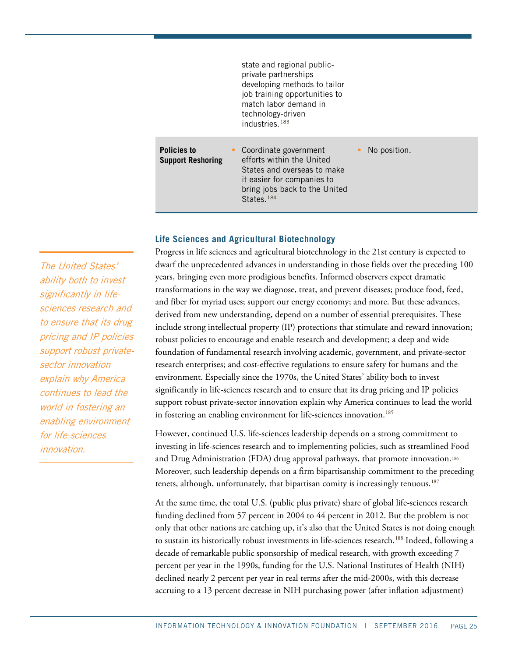|                                                | state and regional public-<br>private partnerships<br>developing methods to tailor<br>job training opportunities to<br>match labor demand in<br>technology-driven<br>industries. $183$ |              |
|------------------------------------------------|----------------------------------------------------------------------------------------------------------------------------------------------------------------------------------------|--------------|
| <b>Policies to</b><br><b>Support Reshoring</b> | Coordinate government<br>efforts within the United<br>States and overseas to make<br>it easier for companies to<br>bring jobs back to the United<br>States. <sup>184</sup>             | No position. |

#### **Life Sciences and Agricultural Biotechnology**

Progress in life sciences and agricultural biotechnology in the 21st century is expected to dwarf the unprecedented advances in understanding in those fields over the preceding 100 years, bringing even more prodigious benefits. Informed observers expect dramatic transformations in the way we diagnose, treat, and prevent diseases; produce food, feed, and fiber for myriad uses; support our energy economy; and more. But these advances, derived from new understanding, depend on a number of essential prerequisites. These include strong intellectual property (IP) protections that stimulate and reward innovation; robust policies to encourage and enable research and development; a deep and wide foundation of fundamental research involving academic, government, and private-sector research enterprises; and cost-effective regulations to ensure safety for humans and the environment. Especially since the 1970s, the United States' ability both to invest significantly in life-sciences research and to ensure that its drug pricing and IP policies support robust private-sector innovation explain why America continues to lead the world in fostering an enabling environment for life-sciences innovation.<sup>[185](#page-36-12)</sup>

However, continued U.S. life-sciences leadership depends on a strong commitment to investing in life-sciences research and to implementing policies, such as streamlined Food and Drug Administration (FDA) drug approval pathways, that promote innovation.[186](#page-36-13) Moreover, such leadership depends on a firm bipartisanship commitment to the preceding tenets, although, unfortunately, that bipartisan comity is increasingly tenuous.<sup>[187](#page-36-14)</sup>

At the same time, the total U.S. (public plus private) share of global life-sciences research funding declined from 57 percent in 2004 to 44 percent in 2012. But the problem is not only that other nations are catching up, it's also that the United States is not doing enough to sustain its historically robust investments in life-sciences research.<sup>188</sup> Indeed, following a decade of remarkable public sponsorship of medical research, with growth exceeding 7 percent per year in the 1990s, funding for the U.S. National Institutes of Health (NIH) declined nearly 2 percent per year in real terms after the mid-2000s, with this decrease accruing to a 13 percent decrease in NIH purchasing power (after inflation adjustment)

The United States' ability both to invest significantly in lifesciences research and to ensure that its drug pricing and IP policies support robust privatesector innovation explain why America continues to lead the world in fostering an enabling environment for life-sciences innovation.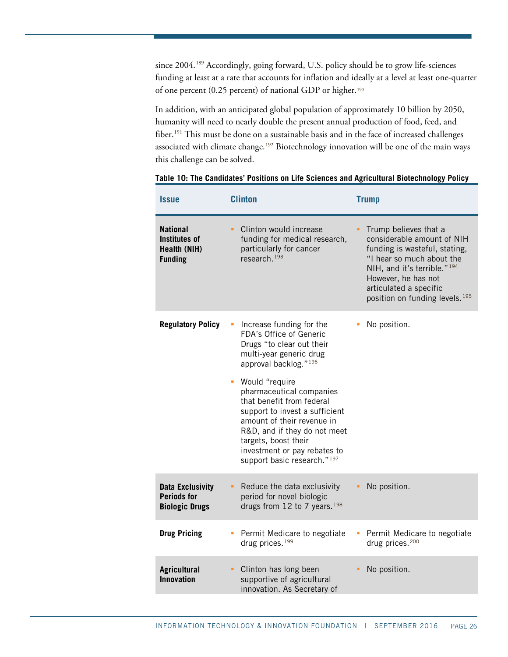since 2004.<sup>[189](#page-36-16)</sup> Accordingly, going forward, U.S. policy should be to grow life-sciences funding at least at a rate that accounts for inflation and ideally at a level at least one-quarter of one percent (0.25 percent) of national GDP or higher.[190](#page-36-17)

In addition, with an anticipated global population of approximately 10 billion by 2050, humanity will need to nearly double the present annual production of food, feed, and fiber.<sup>[191](#page-36-18)</sup> This must be done on a sustainable basis and in the face of increased challenges associated with climate change.<sup>[192](#page-36-19)</sup> Biotechnology innovation will be one of the main ways this challenge can be solved.

| <i><b>Issue</b></i>                                                       | <b>Clinton</b>                                                                                                                                                                                                                                                                  | <b>Trump</b>                                                                                                                                                                                                                                                |
|---------------------------------------------------------------------------|---------------------------------------------------------------------------------------------------------------------------------------------------------------------------------------------------------------------------------------------------------------------------------|-------------------------------------------------------------------------------------------------------------------------------------------------------------------------------------------------------------------------------------------------------------|
| <b>National</b><br><b>Institutes of</b><br>Health (NIH)<br><b>Funding</b> | Clinton would increase<br>×.<br>funding for medical research,<br>particularly for cancer<br>research. <sup>193</sup>                                                                                                                                                            | Trump believes that a<br>considerable amount of NIH<br>funding is wasteful, stating,<br>"I hear so much about the<br>NIH, and it's terrible." <sup>194</sup><br>However, he has not<br>articulated a specific<br>position on funding levels. <sup>195</sup> |
| <b>Regulatory Policy</b>                                                  | Increase funding for the<br>FDA's Office of Generic<br>Drugs "to clear out their<br>multi-year generic drug<br>approval backlog." <sup>196</sup>                                                                                                                                | No position.                                                                                                                                                                                                                                                |
|                                                                           | Would "require<br>ш<br>pharmaceutical companies<br>that benefit from federal<br>support to invest a sufficient<br>amount of their revenue in<br>R&D, and if they do not meet<br>targets, boost their<br>investment or pay rebates to<br>support basic research." <sup>197</sup> |                                                                                                                                                                                                                                                             |
| <b>Data Exclusivity</b><br><b>Periods for</b><br><b>Biologic Drugs</b>    | Reduce the data exclusivity<br>٠<br>period for novel biologic<br>drugs from 12 to 7 years. <sup>198</sup>                                                                                                                                                                       | No position.                                                                                                                                                                                                                                                |
| <b>Drug Pricing</b>                                                       | Permit Medicare to negotiate<br>drug prices. <sup>199</sup>                                                                                                                                                                                                                     | Permit Medicare to negotiate<br>drug prices. <sup>200</sup>                                                                                                                                                                                                 |
| <b>Agricultural</b><br><b>Innovation</b>                                  | Clinton has long been<br>×.<br>supportive of agricultural<br>innovation. As Secretary of                                                                                                                                                                                        | No position.                                                                                                                                                                                                                                                |

**Table 10: The Candidates' Positions on Life Sciences and Agricultural Biotechnology Policy**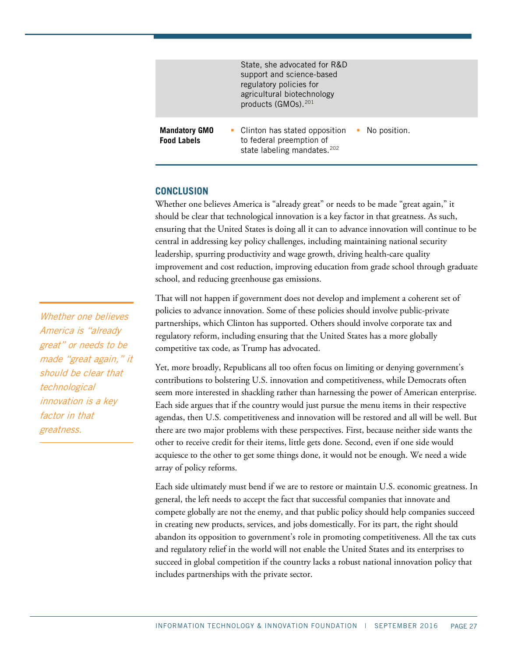|                                            | State, she advocated for R&D<br>support and science-based<br>regulatory policies for<br>agricultural biotechnology<br>products (GMOs). 201 |                |
|--------------------------------------------|--------------------------------------------------------------------------------------------------------------------------------------------|----------------|
| <b>Mandatory GMO</b><br><b>Food Labels</b> | • Clinton has stated opposition<br>to federal preemption of<br>state labeling mandates. <sup>202</sup>                                     | • No position. |

# **CONCLUSION**

Whether one believes America is "already great" or needs to be made "great again," it should be clear that technological innovation is a key factor in that greatness. As such, ensuring that the United States is doing all it can to advance innovation will continue to be central in addressing key policy challenges, including maintaining national security leadership, spurring productivity and wage growth, driving health-care quality improvement and cost reduction, improving education from grade school through graduate school, and reducing greenhouse gas emissions.

That will not happen if government does not develop and implement a coherent set of policies to advance innovation. Some of these policies should involve public-private partnerships, which Clinton has supported. Others should involve corporate tax and regulatory reform, including ensuring that the United States has a more globally competitive tax code, as Trump has advocated.

Yet, more broadly, Republicans all too often focus on limiting or denying government's contributions to bolstering U.S. innovation and competitiveness, while Democrats often seem more interested in shackling rather than harnessing the power of American enterprise. Each side argues that if the country would just pursue the menu items in their respective agendas, then U.S. competitiveness and innovation will be restored and all will be well. But there are two major problems with these perspectives. First, because neither side wants the other to receive credit for their items, little gets done. Second, even if one side would acquiesce to the other to get some things done, it would not be enough. We need a wide array of policy reforms.

Each side ultimately must bend if we are to restore or maintain U.S. economic greatness. In general, the left needs to accept the fact that successful companies that innovate and compete globally are not the enemy, and that public policy should help companies succeed in creating new products, services, and jobs domestically. For its part, the right should abandon its opposition to government's role in promoting competitiveness. All the tax cuts and regulatory relief in the world will not enable the United States and its enterprises to succeed in global competition if the country lacks a robust national innovation policy that includes partnerships with the private sector.

Whether one believes America is "already great" or needs to be made "great again," it should be clear that technological innovation is a key factor in that greatness.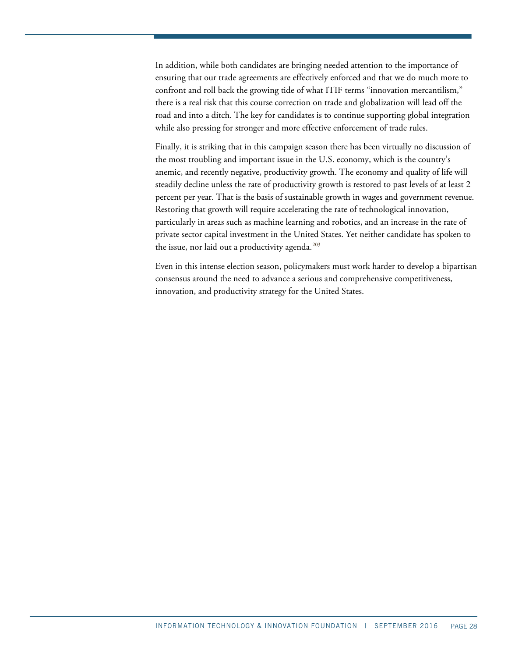In addition, while both candidates are bringing needed attention to the importance of ensuring that our trade agreements are effectively enforced and that we do much more to confront and roll back the growing tide of what ITIF terms "innovation mercantilism," there is a real risk that this course correction on trade and globalization will lead off the road and into a ditch. The key for candidates is to continue supporting global integration while also pressing for stronger and more effective enforcement of trade rules.

Finally, it is striking that in this campaign season there has been virtually no discussion of the most troubling and important issue in the U.S. economy, which is the country's anemic, and recently negative, productivity growth. The economy and quality of life will steadily decline unless the rate of productivity growth is restored to past levels of at least 2 percent per year. That is the basis of sustainable growth in wages and government revenue. Restoring that growth will require accelerating the rate of technological innovation, particularly in areas such as machine learning and robotics, and an increase in the rate of private sector capital investment in the United States. Yet neither candidate has spoken to the issue, nor laid out a productivity agenda.<sup>[203](#page-37-10)</sup>

Even in this intense election season, policymakers must work harder to develop a bipartisan consensus around the need to advance a serious and comprehensive competitiveness, innovation, and productivity strategy for the United States.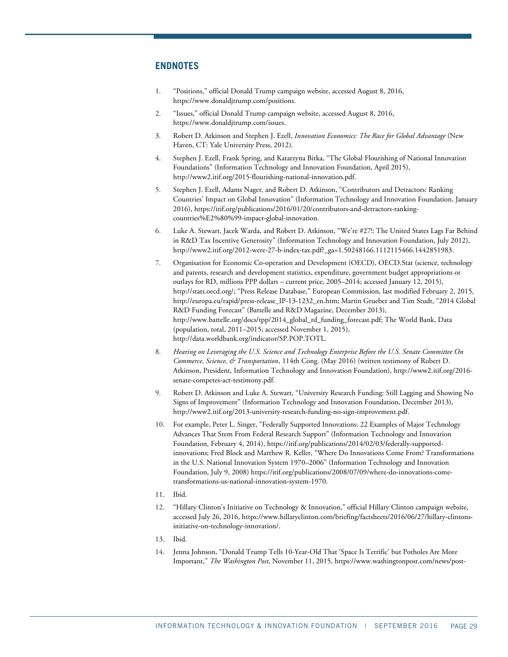## **ENDNOTES**

- <span id="page-28-0"></span>1. "Positions," official Donald Trump campaign website, accessed August 8, 2016, [https://www.donaldjtrump.com/positions.](https://www.donaldjtrump.com/positions)
- <span id="page-28-1"></span>2. "Issues," official Donald Trump campaign website, accessed August 8, 2016, [https://www.donaldjtrump.com/issues.](https://www.donaldjtrump.com/issues)
- <span id="page-28-2"></span>3. Robert D. Atkinson and Stephen J. Ezell, *Innovation Economics: The Race for Global Advantage* (New Haven, CT: Yale University Press, 2012).
- <span id="page-28-3"></span>4. Stephen J. Ezell, Frank Spring, and Katarzyna Bitka, "The Global Flourishing of National Innovation Foundations" (Information Technology and Innovation Foundation, April 2015), [http://www2.itif.org/2015-flourishing-national-innovation.pdf.](http://www2.itif.org/2015-flourishing-national-innovation.pdf)
- <span id="page-28-4"></span>5. Stephen J. Ezell, Adams Nager, and Robert D. Atkinson, "Contributors and Detractors: Ranking Countries' Impact on Global Innovation" (Information Technology and Innovation Foundation, January 2016), https://itif.org/publications/2016/01/20/contributors-and-detractors-rankingcountries%E2%80%99-impact-global-innovation.
- <span id="page-28-5"></span>6. Luke A. Stewart, Jacek Warda, and Robert D. Atkinson, "We're #27!: The United States Lags Far Behind in R&D Tax Incentive Generosity" (Information Technology and Innovation Foundation, July 2012), [http://www2.itif.org/2012-were-27-b-index-tax.pdf?\\_ga=1.50248166.1112115466.1442851983.](http://www2.itif.org/2012-were-27-b-index-tax.pdf?_ga=1.50248166.1112115466.1442851983)
- <span id="page-28-6"></span>7. Organisation for Economic Co-operation and Development (OECD), OECD.Stat (science, technology and patents, research and development statistics, expenditure, government budget appropriations or outlays for RD, millions PPP dollars – current price, 2005–2014; accessed January 12, 2015), [http://stats.oecd.org/;](http://stats.oecd.org/) "Press Release Database," European Commission, last modified February 2, 2015, [http://europa.eu/rapid/press-release\\_IP-13-1232\\_en.htm;](http://europa.eu/rapid/press-release_IP-13-1232_en.htm) Martin Grueber and Tim Studt, "2014 Global R&D Funding Forecast" (Battelle and R&D Magazine, December 2013), http://www.battelle.org/docs/tpp/2014\_global\_rd\_funding\_forecast.pdf; The World Bank, Data (population, total, 2011–2015; accessed November 1, 2015), [http://data.worldbank.org/indicator/SP.POP.TOTL.](http://data.worldbank.org/indicator/SP.POP.TOTL)
- <span id="page-28-7"></span>8. *Hearing on Leveraging the U.S. Science and Technology Enterprise Before the U.S. Senate Committee On Commerce, Science, & Transportation*, 114th Cong. (May 2016) (written testimony of Robert D. Atkinson, President, Information Technology and Innovation Foundation)[, http://www2.itif.org/2016](http://www2.itif.org/2016-senate-competes-act-testimony.pdf) [senate-competes-act-testimony.pdf.](http://www2.itif.org/2016-senate-competes-act-testimony.pdf)
- <span id="page-28-8"></span>9. Robert D. Atkinson and Luke A. Stewart, "University Research Funding: Still Lagging and Showing No Signs of Improvement" (Information Technology and Innovation Foundation, December 2013), [http://www2.itif.org/2013-university-research-funding-no-sign-improvement.pdf.](http://www2.itif.org/2013-university-research-funding-no-sign-improvement.pdf)
- <span id="page-28-9"></span>10. For example, Peter L. Singer, "Federally Supported Innovations: 22 Examples of Major Technology Advances That Stem From Federal Research Support" (Information Technology and Innovation Foundation, February 4, 2014), [https://itif.org/publications/2014/02/03/federally-supported](https://itif.org/publications/2014/02/03/federally-supported-innovations)[innovations;](https://itif.org/publications/2014/02/03/federally-supported-innovations) Fred Block and Matthew R. Keller, "Where Do Innovations Come From? Transformations in the U.S. National Innovation System 1970–2006" (Information Technology and Innovation Foundation, July 9, 2008[\) https://itif.org/publications/2008/07/09/where-do-innovations-come](https://itif.org/publications/2008/07/09/where-do-innovations-come-transformations-us-national-innovation-system-1970)[transformations-us-national-innovation-system-1970.](https://itif.org/publications/2008/07/09/where-do-innovations-come-transformations-us-national-innovation-system-1970)
- <span id="page-28-11"></span><span id="page-28-10"></span>11. Ibid.
- 12. "Hillary Clinton's Initiative on Technology & Innovation," official Hillary Clinton campaign website, accessed July 26, 2016[, https://www.hillaryclinton.com/briefing/factsheets/2016/06/27/hillary-clintons](https://www.hillaryclinton.com/briefing/factsheets/2016/06/27/hillary-clintons-initiative-on-technology-innovation/)[initiative-on-technology-innovation/.](https://www.hillaryclinton.com/briefing/factsheets/2016/06/27/hillary-clintons-initiative-on-technology-innovation/)
- <span id="page-28-13"></span><span id="page-28-12"></span>13. Ibid.
- 14. Jenna Johnson, "Donald Trump Tells 10-Year-Old That 'Space Is Terrific' but Potholes Are More Important," *The Washington Post*, November 11, 2015[, https://www.washingtonpost.com/news/post-](https://www.washingtonpost.com/news/post-politics/wp/2015/11/11/donald-trump-tells-10-year-old-that-space-is-terrific-but-potholes-are-more-important/)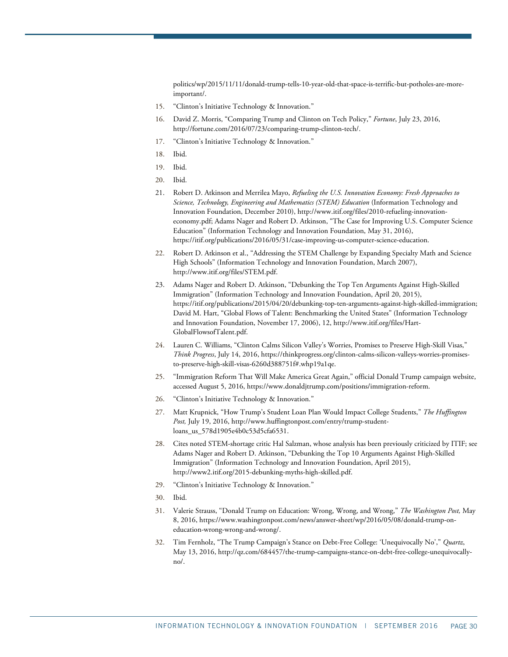[politics/wp/2015/11/11/donald-trump-tells-10-year-old-that-space-is-terrific-but-potholes-are-more](https://www.washingtonpost.com/news/post-politics/wp/2015/11/11/donald-trump-tells-10-year-old-that-space-is-terrific-but-potholes-are-more-important/)[important/.](https://www.washingtonpost.com/news/post-politics/wp/2015/11/11/donald-trump-tells-10-year-old-that-space-is-terrific-but-potholes-are-more-important/)

- <span id="page-29-1"></span><span id="page-29-0"></span>15. "Clinton's Initiative Technology & Innovation."
- 16. David Z. Morris, "Comparing Trump and Clinton on Tech Policy," *Fortune*, July 23, 2016, [http://fortune.com/2016/07/23/comparing-trump-clinton-tech/.](http://fortune.com/2016/07/23/comparing-trump-clinton-tech/)
- <span id="page-29-2"></span>17. "Clinton's Initiative Technology & Innovation."
- <span id="page-29-3"></span>18. Ibid.
- <span id="page-29-4"></span>19. Ibid.
- <span id="page-29-5"></span>20. Ibid.
- <span id="page-29-6"></span>21. Robert D. Atkinson and Merrilea Mayo, *Refueling the U.S. Innovation Economy: Fresh Approaches to Science, Technology, Engineering and Mathematics (STEM) Education* (Information Technology and Innovation Foundation, December 2010)[, http://www.itif.org/files/2010-refueling-innovation](http://www.itif.org/files/2010-refueling-innovation-economy.pdf)[economy.pdf;](http://www.itif.org/files/2010-refueling-innovation-economy.pdf) Adams Nager and Robert D. Atkinson, "The Case for Improving U.S. Computer Science Education" (Information Technology and Innovation Foundation, May 31, 2016), [https://itif.org/publications/2016/05/31/case-improving-us-computer-science-education.](https://itif.org/publications/2016/05/31/case-improving-us-computer-science-education)
- <span id="page-29-7"></span>22. Robert D. Atkinson et al., "Addressing the STEM Challenge by Expanding Specialty Math and Science High Schools" (Information Technology and Innovation Foundation, March 2007), [http://www.itif.org/files/STEM.pdf.](http://www.itif.org/files/STEM.pdf)
- <span id="page-29-8"></span>23. Adams Nager and Robert D. Atkinson, "Debunking the Top Ten Arguments Against High-Skilled Immigration" (Information Technology and Innovation Foundation, April 20, 2015), [https://itif.org/publications/2015/04/20/debunking-top-ten-arguments-against-high-skilled-immigration;](https://itif.org/publications/2015/04/20/debunking-top-ten-arguments-against-high-skilled-immigration)  David M. Hart, "Global Flows of Talent: Benchmarking the United States" (Information Technology and Innovation Foundation, November 17, 2006), 12, [http://www.itif.org/files/Hart-](http://www.itif.org/files/Hart-GlobalFlowsofTalent.pdf)[GlobalFlowsofTalent.pdf.](http://www.itif.org/files/Hart-GlobalFlowsofTalent.pdf)
- <span id="page-29-10"></span>24. Lauren C. Williams, "Clinton Calms Silicon Valley's Worries, Promises to Preserve High-Skill Visas," *Think Progress*, July 14, 2016[, https://thinkprogress.org/clinton-calms-silicon-valleys-worries-promises](https://thinkprogress.org/clinton-calms-silicon-valleys-worries-promises-to-preserve-high-skill-visas-6260d388751f#.whp19a1qe)[to-preserve-high-skill-visas-6260d388751f#.whp19a1qe.](https://thinkprogress.org/clinton-calms-silicon-valleys-worries-promises-to-preserve-high-skill-visas-6260d388751f#.whp19a1qe)
- <span id="page-29-9"></span>25. "Immigration Reform That Will Make America Great Again," official Donald Trump campaign website, accessed August 5, 2016[, https://www.donaldjtrump.com/positions/immigration-reform.](https://www.donaldjtrump.com/positions/immigration-reform)
- <span id="page-29-11"></span>26. "Clinton's Initiative Technology & Innovation."
- <span id="page-29-12"></span>27. Matt Krupnick, "How Trump's Student Loan Plan Would Impact College Students," *The Huffington Post,* July 19, 2016, [http://www.huffingtonpost.com/entry/trump-student](http://www.huffingtonpost.com/entry/trump-student-loans_us_578d1905e4b0c53d5cfa6531)[loans\\_us\\_578d1905e4b0c53d5cfa6531.](http://www.huffingtonpost.com/entry/trump-student-loans_us_578d1905e4b0c53d5cfa6531)
- <span id="page-29-13"></span>28. Cites noted STEM-shortage critic Hal Salzman, whose analysis has been previously criticized by ITIF; see Adams Nager and Robert D. Atkinson, "Debunking the Top 10 Arguments Against High-Skilled Immigration" (Information Technology and Innovation Foundation, April 2015), [http://www2.itif.org/2015-debunking-myths-high-skilled.pdf.](http://www2.itif.org/2015-debunking-myths-high-skilled.pdf)
- <span id="page-29-14"></span>29. "Clinton's Initiative Technology & Innovation."
- <span id="page-29-16"></span><span id="page-29-15"></span>30. Ibid.
- 31. Valerie Strauss, "Donald Trump on Education: Wrong, Wrong, and Wrong," *The Washington Post,* May 8, 2016[, https://www.washingtonpost.com/news/answer-sheet/wp/2016/05/08/donald-trump-on](https://www.washingtonpost.com/news/answer-sheet/wp/2016/05/08/donald-trump-on-education-wrong-wrong-and-wrong/)[education-wrong-wrong-and-wrong/.](https://www.washingtonpost.com/news/answer-sheet/wp/2016/05/08/donald-trump-on-education-wrong-wrong-and-wrong/)
- <span id="page-29-17"></span>32. Tim Fernholz, "The Trump Campaign's Stance on Debt-Free College: 'Unequivocally No'," *Quartz*, May 13, 2016, [http://qz.com/684457/the-trump-campaigns-stance-on-debt-free-college-unequivocally](http://qz.com/684457/the-trump-campaigns-stance-on-debt-free-college-unequivocally-no/)[no/.](http://qz.com/684457/the-trump-campaigns-stance-on-debt-free-college-unequivocally-no/)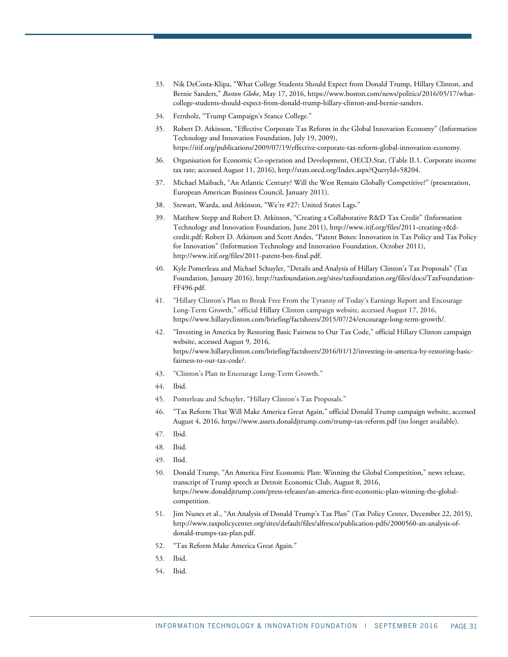- <span id="page-30-0"></span>33. Nik DeCosta-Klipa, "What College Students Should Expect from Donald Trump, Hillary Clinton, and Bernie Sanders," *Boston Globe*, May 17, 2016, [https://www.boston.com/news/politics/2016/05/17/what](https://www.boston.com/news/politics/2016/05/17/what-college-students-should-expect-from-donald-trump-hillary-clinton-and-bernie-sanders)[college-students-should-expect-from-donald-trump-hillary-clinton-and-bernie-sanders.](https://www.boston.com/news/politics/2016/05/17/what-college-students-should-expect-from-donald-trump-hillary-clinton-and-bernie-sanders)
- 34. Fernholz, "Trump Campaign's Stance College."
- <span id="page-30-2"></span><span id="page-30-1"></span>35. Robert D. Atkinson, "Effective Corporate Tax Reform in the Global Innovation Economy" (Information Technology and Innovation Foundation, July 19, 2009), [https://itif.org/publications/2009/07/19/effective-corporate-tax-reform-global-innovation-economy.](https://itif.org/publications/2009/07/19/effective-corporate-tax-reform-global-innovation-economy)
- <span id="page-30-3"></span>36. Organisation for Economic Co-operation and Development, OECD.Stat, (Table II.1. Corporate income tax rate; accessed August 11, 2016), http://stats.oecd.org/Index.aspx?QueryId=58204.
- <span id="page-30-4"></span>37. Michael Maibach, "An Atlantic Century? Will the West Remain Globally Competitive?" (presentation, European American Business Council, January 2011).
- <span id="page-30-5"></span>38. Stewart, Warda, and Atkinson, "We're #27: United States Lags."
- <span id="page-30-6"></span>39. Matthew Stepp and Robert D. Atkinson, "Creating a Collaborative R&D Tax Credit" (Information Technology and Innovation Foundation, June 2011), http://www.itif.org/files/2011-creating-r&dcredit.pdf; Robert D. Atkinson and Scott Andes, "Patent Boxes: Innovation in Tax Policy and Tax Policy for Innovation" (Information Technology and Innovation Foundation, October 2011), [http://www.itif.org/files/2011-patent-box-final.pdf.](http://www.itif.org/files/2011-patent-box-final.pdf)
- <span id="page-30-7"></span>40. Kyle Pomerleau and Michael Schuyler, "Details and Analysis of Hillary Clinton's Tax Proposals" (Tax Foundation, January 2016)[, http://taxfoundation.org/sites/taxfoundation.org/files/docs/TaxFoundation-](http://taxfoundation.org/sites/taxfoundation.org/files/docs/TaxFoundation-FF496.pdf)[FF496.pdf.](http://taxfoundation.org/sites/taxfoundation.org/files/docs/TaxFoundation-FF496.pdf)
- <span id="page-30-8"></span>41. "Hillary Clinton's Plan to Break Free From the Tyranny of Today's Earnings Report and Encourage Long-Term Growth," official Hillary Clinton campaign website, accessed August 17, 2016, [https://www.hillaryclinton.com/briefing/factsheets/2015/07/24/encourage-long-term-growth/.](https://www.hillaryclinton.com/briefing/factsheets/2015/07/24/encourage-long-term-growth/)
- <span id="page-30-9"></span>42. "Investing in America by Restoring Basic Fairness to Our Tax Code," official Hillary Clinton campaign website, accessed August 9, 2016, [https://www.hillaryclinton.com/briefing/factsheets/2016/01/12/investing-in-america-by-restoring-basic](https://www.hillaryclinton.com/briefing/factsheets/2016/01/12/investing-in-america-by-restoring-basic-fairness-to-our-tax-code/)[fairness-to-our-tax-code/.](https://www.hillaryclinton.com/briefing/factsheets/2016/01/12/investing-in-america-by-restoring-basic-fairness-to-our-tax-code/)
- <span id="page-30-10"></span>43. "Clinton's Plan to Encourage Long-Term Growth."
- 44. Ibid.
- <span id="page-30-12"></span><span id="page-30-11"></span>45. Pomerleau and Schuyler, "Hillary Clinton's Tax Proposals."
- <span id="page-30-13"></span>46. "Tax Reform That Will Make America Great Again," official Donald Trump campaign website, accessed August 4, 2016,<https://www.assets.donaldjtrump.com/trump-tax-reform.pdf> (no longer available).
- <span id="page-30-14"></span>47. Ibid.
- <span id="page-30-15"></span>48. Ibid.
- <span id="page-30-16"></span>49. Ibid.
- <span id="page-30-17"></span>50. Donald Trump, "An America First Economic Plan: Winning the Global Competition," news release, transcript of Trump speech at Detroit Economic Club, August 8, 2016, [https://www.donaldjtrump.com/press-releases/an-america-first-economic-plan-winning-the-global](https://www.donaldjtrump.com/press-releases/an-america-first-economic-plan-winning-the-global-competition)[competition.](https://www.donaldjtrump.com/press-releases/an-america-first-economic-plan-winning-the-global-competition)
- <span id="page-30-18"></span>51. Jim Nunes et al., "An Analysis of Donald Trump's Tax Plan" (Tax Policy Center, December 22, 2015), [http://www.taxpolicycenter.org/sites/default/files/alfresco/publication-pdfs/2000560-an-analysis-of](http://www.taxpolicycenter.org/sites/default/files/alfresco/publication-pdfs/2000560-an-analysis-of-donald-trumps-tax-plan.pdf)[donald-trumps-tax-plan.pdf.](http://www.taxpolicycenter.org/sites/default/files/alfresco/publication-pdfs/2000560-an-analysis-of-donald-trumps-tax-plan.pdf)
- <span id="page-30-19"></span>52. "Tax Reform Make America Great Again."
- <span id="page-30-20"></span>53. Ibid.
- <span id="page-30-21"></span>54. Ibid.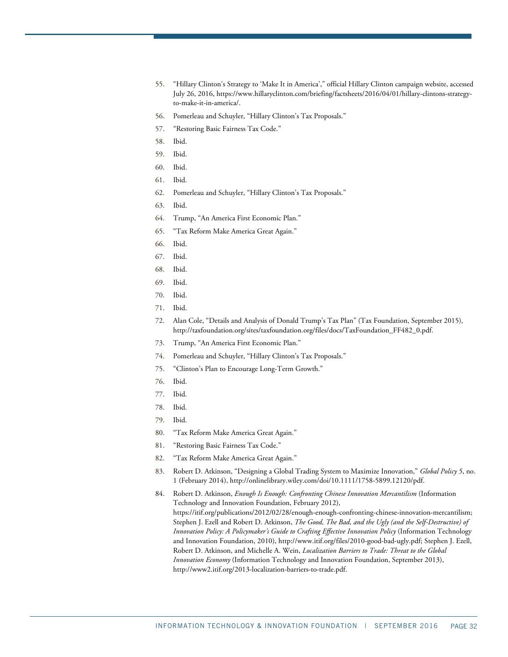- <span id="page-31-0"></span>55. "Hillary Clinton's Strategy to 'Make It in America'," official Hillary Clinton campaign website, accessed July 26, 2016, [https://www.hillaryclinton.com/briefing/factsheets/2016/04/01/hillary-clintons-strategy](https://www.hillaryclinton.com/briefing/factsheets/2016/04/01/hillary-clintons-strategy-to-make-it-in-america/)[to-make-it-in-america/.](https://www.hillaryclinton.com/briefing/factsheets/2016/04/01/hillary-clintons-strategy-to-make-it-in-america/)
- <span id="page-31-1"></span>56. Pomerleau and Schuyler, "Hillary Clinton's Tax Proposals."
- <span id="page-31-2"></span>57. "Restoring Basic Fairness Tax Code."
- 58. Ibid.
- <span id="page-31-5"></span><span id="page-31-4"></span><span id="page-31-3"></span>59. Ibid.
- 60. Ibid.
- <span id="page-31-6"></span>61. Ibid.
- <span id="page-31-7"></span>62. Pomerleau and Schuyler, "Hillary Clinton's Tax Proposals."
- <span id="page-31-8"></span>63. Ibid.
- <span id="page-31-9"></span>64. Trump, "An America First Economic Plan."
- <span id="page-31-10"></span>65. "Tax Reform Make America Great Again."
- <span id="page-31-11"></span>66. Ibid.
- 67. Ibid.
- <span id="page-31-14"></span><span id="page-31-13"></span><span id="page-31-12"></span>68. Ibid.
- 69. Ibid.
- <span id="page-31-15"></span>70. Ibid.
- <span id="page-31-17"></span><span id="page-31-16"></span>71. Ibid.
- 72. Alan Cole, "Details and Analysis of Donald Trump's Tax Plan" (Tax Foundation, September 2015), [http://taxfoundation.org/sites/taxfoundation.org/files/docs/TaxFoundation\\_FF482\\_0.pdf.](http://taxfoundation.org/sites/taxfoundation.org/files/docs/TaxFoundation_FF482_0.pdf)
- <span id="page-31-18"></span>73. Trump, "An America First Economic Plan."
- <span id="page-31-19"></span>74. Pomerleau and Schuyler, "Hillary Clinton's Tax Proposals."
- <span id="page-31-22"></span><span id="page-31-21"></span>75. "Clinton's Plan to Encourage Long-Term Growth."
- 76. Ibid.
- <span id="page-31-23"></span>77. Ibid.
- 78. Ibid.
- <span id="page-31-25"></span><span id="page-31-24"></span><span id="page-31-20"></span>79. Ibid.
- 80. "Tax Reform Make America Great Again."
- <span id="page-31-26"></span>81. "Restoring Basic Fairness Tax Code."
- <span id="page-31-27"></span>82. "Tax Reform Make America Great Again."
- <span id="page-31-28"></span>83. Robert D. Atkinson, "Designing a Global Trading System to Maximize Innovation," *Global Policy 5*, no. 1 (February 2014)[, http://onlinelibrary.wiley.com/doi/10.1111/1758-5899.12120/pdf.](http://onlinelibrary.wiley.com/doi/10.1111/1758-5899.12120/pdf)
- <span id="page-31-29"></span>84. Robert D. Atkinson, *Enough Is Enough: Confronting Chinese Innovation Mercantilism* (Information Technology and Innovation Foundation, February 2012), https://itif.org/publications/2012/02/28/enough-enough-confronting-chinese-innovation-mercantilism; Stephen J. Ezell and Robert D. Atkinson, *The Good, The Bad, and the Ugly (and the Self-Destructive) of Innovation Policy: A Policymaker's Guide to Crafting Effective Innovation Policy* (Information Technology and Innovation Foundation, 2010), http://www.itif.org/files/2010-good-bad-ugly.pdf; Stephen J. Ezell, Robert D. Atkinson, and Michelle A. Wein, *Localization Barriers to Trade: Threat to the Global Innovation Economy* (Information Technology and Innovation Foundation, September 2013), [http://www2.itif.org/2013-localization-barriers-to-trade.pdf.](http://www2.itif.org/2013-localization-barriers-to-trade.pdf)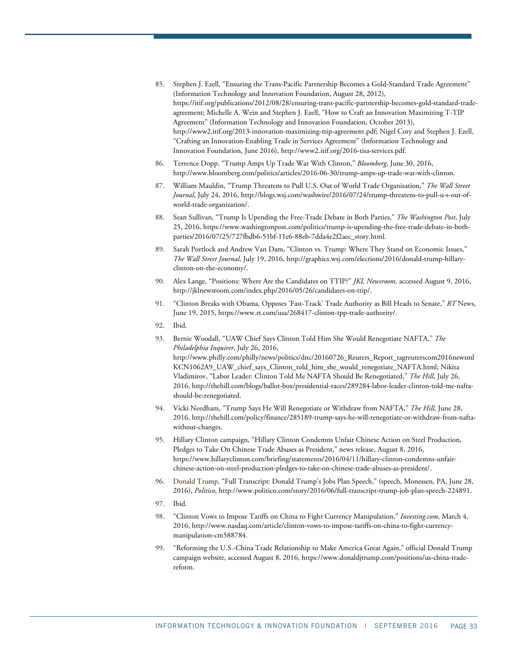- <span id="page-32-0"></span>85. Stephen J. Ezell, "Ensuring the Trans-Pacific Partnership Becomes a Gold-Standard Trade Agreement" (Information Technology and Innovation Foundation, August 28, 2012), [https://itif.org/publications/2012/08/28/ensuring-trans-pacific-partnership-becomes-gold-standard-trade](https://itif.org/publications/2012/08/28/ensuring-trans-pacific-partnership-becomes-gold-standard-trade-agreement)[agreement;](https://itif.org/publications/2012/08/28/ensuring-trans-pacific-partnership-becomes-gold-standard-trade-agreement) Michelle A. Wein and Stephen J. Ezell, ["How to Craft an Innovation Maximizing T-TIP](https://itif.org/publications/2014/12/02/how-craft-innovation-maximizing-t-tip-agreement)  [Agreement" \(](https://itif.org/publications/2014/12/02/how-craft-innovation-maximizing-t-tip-agreement)Information Technology and Innovation Foundation, October 2013), [http://www2.itif.org/2013-innovation-maximizing-ttip-agreement.pdf;](http://www2.itif.org/2013-innovation-maximizing-ttip-agreement.pdf) Nigel Cory and Stephen J. Ezell, "Crafting an Innovation-Enabling Trade in Services Agreement" (Information Technology and Innovation Foundation, June 2016)[, http://www2.itif.org/2016-tisa-services.pdf.](http://www2.itif.org/2016-tisa-services.pdf)
- <span id="page-32-1"></span>86. Terrence Dopp, "Trump Amps Up Trade War With Clinton," *Bloomberg*, June 30, 2016, [http://www.bloomberg.com/politics/articles/2016-06-30/trump-amps-up-trade-war-with-clinton.](http://www.bloomberg.com/politics/articles/2016-06-30/trump-amps-up-trade-war-with-clinton)
- <span id="page-32-2"></span>87. William Mauldin, "Trump Threatens to Pull U.S. Out of World Trade Organization," *The Wall Street Journal*, July 24, 2016[, http://blogs.wsj.com/washwire/2016/07/24/trump-threatens-to-pull-u-s-out-of](http://blogs.wsj.com/washwire/2016/07/24/trump-threatens-to-pull-u-s-out-of-world-trade-organization/)[world-trade-organization/.](http://blogs.wsj.com/washwire/2016/07/24/trump-threatens-to-pull-u-s-out-of-world-trade-organization/)
- <span id="page-32-3"></span>88. Sean Sullivan, "Trump Is Upending the Free-Trade Debate in Both Parties," *The Washington Post*, July 25, 2016, [https://www.washingtonpost.com/politics/trump-is-upending-the-free-trade-debate-in-both](https://www.washingtonpost.com/politics/trump-is-upending-the-free-trade-debate-in-both-parties/2016/07/25/727fbdb6-51bf-11e6-88eb-7dda4e2f2aec_story.html)[parties/2016/07/25/727fbdb6-51bf-11e6-88eb-7dda4e2f2aec\\_story.html.](https://www.washingtonpost.com/politics/trump-is-upending-the-free-trade-debate-in-both-parties/2016/07/25/727fbdb6-51bf-11e6-88eb-7dda4e2f2aec_story.html)
- <span id="page-32-4"></span>89. Sarah Portlock and Andrew Van Dam, "Clinton vs. Trump: Where They Stand on Economic Issues," *The Wall Street Journal*, July 19, 2016[, http://graphics.wsj.com/elections/2016/donald-trump-hillary](http://graphics.wsj.com/elections/2016/donald-trump-hillary-clinton-on-the-economy/)[clinton-on-the-economy/.](http://graphics.wsj.com/elections/2016/donald-trump-hillary-clinton-on-the-economy/)
- <span id="page-32-5"></span>90. Alex Lange, "Positions: Where Are the Candidates on TTIP?" *JKL Newsroom,* accessed August 9, 2016, [http://jklnewsroom.com/index.php/2016/05/26/candidates-on-ttip/.](http://jklnewsroom.com/index.php/2016/05/26/candidates-on-ttip/)
- <span id="page-32-6"></span>91. "Clinton Breaks with Obama, Opposes 'Fast-Track' Trade Authority as Bill Heads to Senate," *RT* News, June 19, 2015, [https://www.rt.com/usa/268417-clinton-tpp-trade-authority/.](https://www.rt.com/usa/268417-clinton-tpp-trade-authority/)
- <span id="page-32-8"></span><span id="page-32-7"></span>92. Ibid.
- 93. Bernie Woodall, "UAW Chief Says Clinton Told Him She Would Renegotiate NAFTA," *The Philadelphia Inquirer*, July 26, 2016, [http://www.philly.com/philly/news/politics/dnc/20160726\\_Reuters\\_Report\\_tagreuterscom2016newsml](http://www.philly.com/philly/news/politics/dnc/20160726_Reuters_Report_tagreuterscom2016newsmlKCN1062A9_UAW_chief_says_Clinton_told_him_she_would_renegotiate_NAFTA.html) [KCN1062A9\\_UAW\\_chief\\_says\\_Clinton\\_told\\_him\\_she\\_would\\_renegotiate\\_NAFTA.html;](http://www.philly.com/philly/news/politics/dnc/20160726_Reuters_Report_tagreuterscom2016newsmlKCN1062A9_UAW_chief_says_Clinton_told_him_she_would_renegotiate_NAFTA.html) Nikita Vladimirov, "Labor Leader: Clinton Told Me NAFTA Should Be Renegotiated," *The Hill*, July 26, 2016[, http://thehill.com/blogs/ballot-box/presidential-races/289284-labor-leader-clinton-told-me-nafta](http://thehill.com/blogs/ballot-box/presidential-races/289284-labor-leader-clinton-told-me-nafta-should-be-renegotiated)[should-be-renegotiated.](http://thehill.com/blogs/ballot-box/presidential-races/289284-labor-leader-clinton-told-me-nafta-should-be-renegotiated)
- <span id="page-32-9"></span>94. Vicki Needham, "Trump Says He Will Renegotiate or Withdraw from NAFTA," *The Hill*, June 28, 2016[, http://thehill.com/policy/finance/285189-trump-says-he-will-renegotiate-or-withdraw-from-nafta](http://thehill.com/policy/finance/285189-trump-says-he-will-renegotiate-or-withdraw-from-nafta-without-changes)[without-changes.](http://thehill.com/policy/finance/285189-trump-says-he-will-renegotiate-or-withdraw-from-nafta-without-changes)
- <span id="page-32-10"></span>95. Hillary Clinton campaign, "Hillary Clinton Condemns Unfair Chinese Action on Steel Production, Pledges to Take On Chinese Trade Abuses as President," news release, August 8, 2016, [https://www.hillaryclinton.com/briefing/statements/2016/04/11/hillary-clinton-condemns-unfair](https://www.hillaryclinton.com/briefing/statements/2016/04/11/hillary-clinton-condemns-unfair-chinese-action-on-steel-production-pledges-to-take-on-chinese-trade-abuses-as-president/)[chinese-action-on-steel-production-pledges-to-take-on-chinese-trade-abuses-as-president/.](https://www.hillaryclinton.com/briefing/statements/2016/04/11/hillary-clinton-condemns-unfair-chinese-action-on-steel-production-pledges-to-take-on-chinese-trade-abuses-as-president/)
- <span id="page-32-11"></span>96. Donald Trump, "Full Transcript: Donald Trump's Jobs Plan Speech," (speech, Monessen, PA, June 28, 2016), *Politico*, [http://www.politico.com/story/2016/06/full-transcript-trump-job-plan-speech-224891.](http://www.politico.com/story/2016/06/full-transcript-trump-job-plan-speech-224891)
- <span id="page-32-13"></span><span id="page-32-12"></span>97. Ibid.
- 98. "Clinton Vows to Impose Tariffs on China to Fight Currency Manipulation," *Investing.com*, March 4, 2016[, http://www.nasdaq.com/article/clinton-vows-to-impose-tariffs-on-china-to-fight-currency](http://www.nasdaq.com/article/clinton-vows-to-impose-tariffs-on-china-to-fight-currency-manipulation-cm588784)[manipulation-cm588784.](http://www.nasdaq.com/article/clinton-vows-to-impose-tariffs-on-china-to-fight-currency-manipulation-cm588784)
- <span id="page-32-14"></span>99. "Reforming the U.S.-China Trade Relationship to Make America Great Again," official Donald Trump campaign website, accessed August 8, 2016[, https://www.donaldjtrump.com/positions/us-china-trade](https://www.donaldjtrump.com/positions/us-china-trade-reform)[reform.](https://www.donaldjtrump.com/positions/us-china-trade-reform)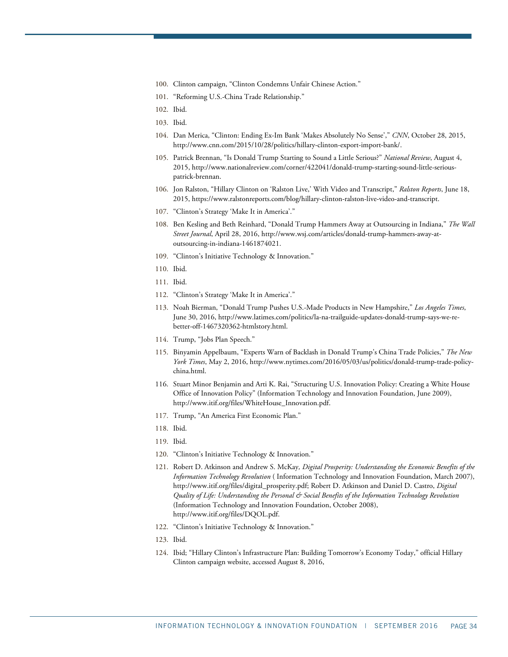- <span id="page-33-0"></span>100. Clinton campaign, "Clinton Condemns Unfair Chinese Action."
- <span id="page-33-1"></span>101. "Reforming U.S.-China Trade Relationship."
- <span id="page-33-2"></span>102. Ibid.
- <span id="page-33-4"></span><span id="page-33-3"></span>103. Ibid.
- 104. Dan Merica, "Clinton: Ending Ex-Im Bank 'Makes Absolutely No Sense'," *CNN*, October 28, 2015, [http://www.cnn.com/2015/10/28/politics/hillary-clinton-export-import-bank/.](http://www.cnn.com/2015/10/28/politics/hillary-clinton-export-import-bank/)
- <span id="page-33-5"></span>105. Patrick Brennan, "Is Donald Trump Starting to Sound a Little Serious?" *National Review*, August 4, 2015[, http://www.nationalreview.com/corner/422041/donald-trump-starting-sound-little-serious](http://www.nationalreview.com/corner/422041/donald-trump-starting-sound-little-serious-patrick-brennan)[patrick-brennan.](http://www.nationalreview.com/corner/422041/donald-trump-starting-sound-little-serious-patrick-brennan)
- <span id="page-33-6"></span>106. Jon Ralston, "Hillary Clinton on 'Ralston Live,' With Video and Transcript," *Ralston Reports*, June 18, 2015[, https://www.ralstonreports.com/blog/hillary-clinton-ralston-live-video-and-transcript.](https://www.ralstonreports.com/blog/hillary-clinton-ralston-live-video-and-transcript)
- <span id="page-33-7"></span>107. "Clinton's Strategy 'Make It in America'."
- <span id="page-33-8"></span>108. Ben Kesling and Beth Reinhard, "Donald Trump Hammers Away at Outsourcing in Indiana," *The Wall Street Journal*, April 28, 2016, [http://www.wsj.com/articles/donald-trump-hammers-away-at](http://www.wsj.com/articles/donald-trump-hammers-away-at-outsourcing-in-indiana-1461874021)[outsourcing-in-indiana-1461874021.](http://www.wsj.com/articles/donald-trump-hammers-away-at-outsourcing-in-indiana-1461874021)
- <span id="page-33-9"></span>109. "Clinton's Initiative Technology & Innovation."
- <span id="page-33-10"></span>110. Ibid.
- <span id="page-33-11"></span>111. Ibid.
- <span id="page-33-13"></span><span id="page-33-12"></span>112. "Clinton's Strategy 'Make It in America'."
- 113. Noah Bierman, "Donald Trump Pushes U.S.-Made Products in New Hampshire," *Los Angeles Times*, June 30, 2016, [http://www.latimes.com/politics/la-na-trailguide-updates-donald-trump-says-we-re](http://www.latimes.com/politics/la-na-trailguide-updates-donald-trump-says-we-re-better-off-1467320362-htmlstory.html)[better-off-1467320362-htmlstory.html.](http://www.latimes.com/politics/la-na-trailguide-updates-donald-trump-says-we-re-better-off-1467320362-htmlstory.html)
- <span id="page-33-15"></span><span id="page-33-14"></span>114. Trump, "Jobs Plan Speech."
- 115. Binyamin Appelbaum, "Experts Warn of Backlash in Donald Trump's China Trade Policies," *The New York Times*, May 2, 2016, [http://www.nytimes.com/2016/05/03/us/politics/donald-trump-trade-policy](http://www.nytimes.com/2016/05/03/us/politics/donald-trump-trade-policy-china.html)[china.html.](http://www.nytimes.com/2016/05/03/us/politics/donald-trump-trade-policy-china.html)
- <span id="page-33-16"></span>116. Stuart Minor Benjamin and Arti K. Rai, "Structuring U.S. Innovation Policy: Creating a White House Office of Innovation Policy" (Information Technology and Innovation Foundation, June 2009), [http://www.itif.org/files/WhiteHouse\\_Innovation.pdf.](http://www.itif.org/files/WhiteHouse_Innovation.pdf)
- <span id="page-33-18"></span><span id="page-33-17"></span>117. Trump, "An America First Economic Plan."
- 118. Ibid.
- <span id="page-33-19"></span>119. Ibid.
- <span id="page-33-20"></span>120. "Clinton's Initiative Technology & Innovation."
- <span id="page-33-21"></span>121. Robert D. Atkinson and Andrew S. McKay*, Digital Prosperity: Understanding the Economic Benefits of the Information Technology Revolution* ( Information Technology and Innovation Foundation, March 2007), http://www.itif.org/files/digital\_prosperity.pdf; Robert D. Atkinson and Daniel D. Castro, *Digital Quality of Life: Understanding the Personal & Social Benefits of the Information Technology Revolution* (Information Technology and Innovation Foundation, October 2008), [http://www.itif.org/files/DQOL.pdf.](http://www.itif.org/files/DQOL.pdf)
- <span id="page-33-23"></span><span id="page-33-22"></span>122. "Clinton's Initiative Technology & Innovation."
- 123. Ibid.
- <span id="page-33-24"></span>124. Ibid; "Hillary Clinton's Infrastructure Plan: Building Tomorrow's Economy Today," official Hillary Clinton campaign website, accessed August 8, 2016,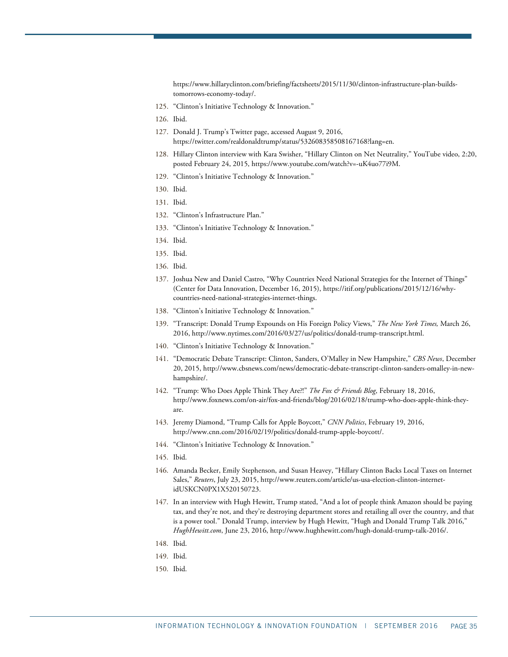[https://www.hillaryclinton.com/briefing/factsheets/2015/11/30/clinton-infrastructure-plan-builds](https://www.hillaryclinton.com/briefing/factsheets/2015/11/30/clinton-infrastructure-plan-builds-tomorrows-economy-today/)[tomorrows-economy-today/.](https://www.hillaryclinton.com/briefing/factsheets/2015/11/30/clinton-infrastructure-plan-builds-tomorrows-economy-today/)

- <span id="page-34-0"></span>125. "Clinton's Initiative Technology & Innovation."
- <span id="page-34-1"></span>126. Ibid.
- <span id="page-34-2"></span>127. Donald J. Trump's Twitter page, accessed August 9, 2016, [https://twitter.com/realdonaldtrump/status/532608358508167168?lang=en.](https://twitter.com/realdonaldtrump/status/532608358508167168?lang=en)
- <span id="page-34-3"></span>128. Hillary Clinton interview with Kara Swisher, "Hillary Clinton on Net Neutrality," YouTube video, 2:20, posted February 24, 2015, [https://www.youtube.com/watch?v=-uK4uo77i9M.](https://www.youtube.com/watch?v=-uK4uo77i9M)
- <span id="page-34-4"></span>129. "Clinton's Initiative Technology & Innovation."
- <span id="page-34-5"></span>130. Ibid.
- <span id="page-34-6"></span>131. Ibid.
- <span id="page-34-7"></span>132. "Clinton's Infrastructure Plan."
- <span id="page-34-9"></span><span id="page-34-8"></span>133. "Clinton's Initiative Technology & Innovation."
- 134. Ibid.
- <span id="page-34-10"></span>135. Ibid.
- <span id="page-34-12"></span><span id="page-34-11"></span>136. Ibid.
- 137. Joshua New and Daniel Castro, "Why Countries Need National Strategies for the Internet of Things" (Center for Data Innovation, December 16, 2015)[, https://itif.org/publications/2015/12/16/why](https://itif.org/publications/2015/12/16/why-countries-need-national-strategies-internet-things)[countries-need-national-strategies-internet-things.](https://itif.org/publications/2015/12/16/why-countries-need-national-strategies-internet-things)
- <span id="page-34-14"></span><span id="page-34-13"></span>138. "Clinton's Initiative Technology & Innovation."
- 139. "Transcript: Donald Trump Expounds on His Foreign Policy Views," *The New York Times,* March 26, 2016[, http://www.nytimes.com/2016/03/27/us/politics/donald-trump-transcript.html.](http://www.nytimes.com/2016/03/27/us/politics/donald-trump-transcript.html)
- <span id="page-34-16"></span><span id="page-34-15"></span>140. "Clinton's Initiative Technology & Innovation."
- 141. "Democratic Debate Transcript: Clinton, Sanders, O'Malley in New Hampshire," *CBS News*, December 20, 2015, [http://www.cbsnews.com/news/democratic-debate-transcript-clinton-sanders-omalley-in-new](http://www.cbsnews.com/news/democratic-debate-transcript-clinton-sanders-omalley-in-new-hampshire/)[hampshire/.](http://www.cbsnews.com/news/democratic-debate-transcript-clinton-sanders-omalley-in-new-hampshire/)
- <span id="page-34-17"></span>142. "Trump: Who Does Apple Think They Are?!" *The Fox & Friends Blog*, February 18, 2016, [http://www.foxnews.com/on-air/fox-and-friends/blog/2016/02/18/trump-who-does-apple-think-they](http://www.foxnews.com/on-air/fox-and-friends/blog/2016/02/18/trump-who-does-apple-think-they-are)[are.](http://www.foxnews.com/on-air/fox-and-friends/blog/2016/02/18/trump-who-does-apple-think-they-are)
- <span id="page-34-18"></span>143. Jeremy Diamond, "Trump Calls for Apple Boycott," *CNN Politics*, February 19, 2016, [http://www.cnn.com/2016/02/19/politics/donald-trump-apple-boycott/.](http://www.cnn.com/2016/02/19/politics/donald-trump-apple-boycott/)
- <span id="page-34-19"></span>144. "Clinton's Initiative Technology & Innovation."
- <span id="page-34-20"></span>145. Ibid.
- <span id="page-34-21"></span>146. Amanda Becker, Emily Stephenson, and Susan Heavey, "Hillary Clinton Backs Local Taxes on Internet Sales," *Reuters*, July 23, 2015, [http://www.reuters.com/article/us-usa-election-clinton-internet](http://www.reuters.com/article/us-usa-election-clinton-internet-idUSKCN0PX1X520150723)[idUSKCN0PX1X520150723.](http://www.reuters.com/article/us-usa-election-clinton-internet-idUSKCN0PX1X520150723)
- <span id="page-34-22"></span>147. In an interview with Hugh Hewitt, Trump stated, "And a lot of people think Amazon should be paying tax, and they're not, and they're destroying department stores and retailing all over the country, and that is a power tool." Donald Trump, interview by Hugh Hewitt, "Hugh and Donald Trump Talk 2016," *HughHewitt.com*, June 23, 2016[, http://www.hughhewitt.com/hugh-donald-trump-talk-2016/.](http://www.hughhewitt.com/hugh-donald-trump-talk-2016/)
- <span id="page-34-23"></span>148. Ibid.
- <span id="page-34-24"></span>149. Ibid.
- <span id="page-34-25"></span>150. Ibid.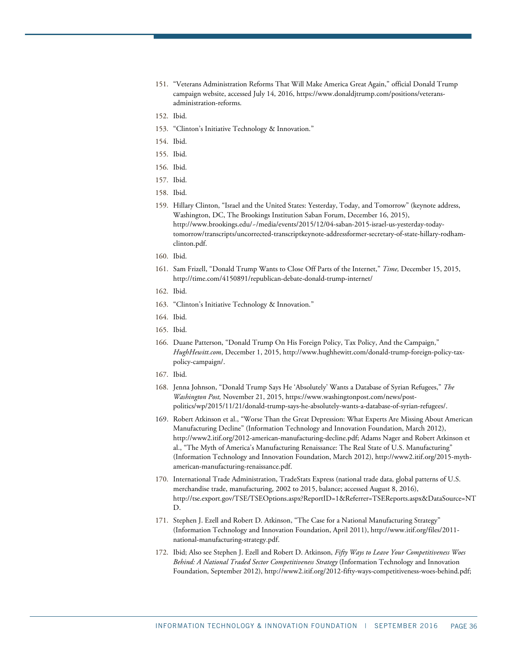- <span id="page-35-0"></span>151. "Veterans Administration Reforms That Will Make America Great Again," official Donald Trump campaign website, accessed July 14, 2016[, https://www.donaldjtrump.com/positions/veterans](https://www.donaldjtrump.com/positions/veterans-administration-reforms)[administration-reforms.](https://www.donaldjtrump.com/positions/veterans-administration-reforms)
- 152. Ibid.
- <span id="page-35-2"></span><span id="page-35-1"></span>153. "Clinton's Initiative Technology & Innovation."
- <span id="page-35-3"></span>154. Ibid.
- <span id="page-35-4"></span>155. Ibid.
- <span id="page-35-5"></span>156. Ibid.
- <span id="page-35-6"></span>157. Ibid.
- <span id="page-35-8"></span><span id="page-35-7"></span>158. Ibid.
- 159. Hillary Clinton, "Israel and the United States: Yesterday, Today, and Tomorrow" (keynote address, Washington, DC, The Brookings Institution Saban Forum, December 16, 2015), [http://www.brookings.edu/~/media/events/2015/12/04-saban-2015-israel-us-yesterday-today](http://www.brookings.edu/%7E/media/events/2015/12/04-saban-2015-israel-us-yesterday-today-tomorrow/transcripts/uncorrected-transcriptkeynote-addressformer-secretary-of-state-hillary-rodham-clinton.pdf)[tomorrow/transcripts/uncorrected-transcriptkeynote-addressformer-secretary-of-state-hillary-rodham](http://www.brookings.edu/%7E/media/events/2015/12/04-saban-2015-israel-us-yesterday-today-tomorrow/transcripts/uncorrected-transcriptkeynote-addressformer-secretary-of-state-hillary-rodham-clinton.pdf)[clinton.pdf.](http://www.brookings.edu/%7E/media/events/2015/12/04-saban-2015-israel-us-yesterday-today-tomorrow/transcripts/uncorrected-transcriptkeynote-addressformer-secretary-of-state-hillary-rodham-clinton.pdf)
- <span id="page-35-10"></span><span id="page-35-9"></span>160. Ibid.
- 161. Sam Frizell, "Donald Trump Wants to Close Off Parts of the Internet," *Time,* December 15, 2015, http://time.com/4150891/republican-debate-donald-trump-internet/
- <span id="page-35-11"></span>162. Ibid.
- 163. "Clinton's Initiative Technology & Innovation."
- <span id="page-35-16"></span><span id="page-35-13"></span><span id="page-35-12"></span>164. Ibid.
- 165. Ibid.
- <span id="page-35-14"></span>166. Duane Patterson, "Donald Trump On His Foreign Policy, Tax Policy, And the Campaign," *HughHewitt.com*, December 1, 2015, [http://www.hughhewitt.com/donald-trump-foreign-policy-tax](http://www.hughhewitt.com/donald-trump-foreign-policy-tax-policy-campaign/)[policy-campaign/.](http://www.hughhewitt.com/donald-trump-foreign-policy-tax-policy-campaign/)
- <span id="page-35-15"></span>167. Ibid.
- <span id="page-35-17"></span>168. Jenna Johnson, "Donald Trump Says He 'Absolutely' Wants a Database of Syrian Refugees," *The Washington Post,* November 21, 2015, [https://www.washingtonpost.com/news/post](https://www.washingtonpost.com/news/post-politics/wp/2015/11/21/donald-trump-says-he-absolutely-wants-a-database-of-syrian-refugees/)[politics/wp/2015/11/21/donald-trump-says-he-absolutely-wants-a-database-of-syrian-refugees/.](https://www.washingtonpost.com/news/post-politics/wp/2015/11/21/donald-trump-says-he-absolutely-wants-a-database-of-syrian-refugees/)
- <span id="page-35-18"></span>169. Robert Atkinson et al., "Worse Than the Great Depression: What Experts Are Missing About American Manufacturing Decline" (Information Technology and Innovation Foundation, March 2012), [http://www2.itif.org/2012-american-manufacturing-decline.pdf;](http://www2.itif.org/2012-american-manufacturing-decline.pdf) Adams Nager and Robert Atkinson et al., "The Myth of America's Manufacturing Renaissance: The Real State of U.S. Manufacturing" (Information Technology and Innovation Foundation, March 2012)[, http://www2.itif.org/2015-myth](http://www2.itif.org/2015-myth-american-manufacturing-renaissance.pdf)[american-manufacturing-renaissance.pdf.](http://www2.itif.org/2015-myth-american-manufacturing-renaissance.pdf)
- <span id="page-35-19"></span>170. International Trade Administration, TradeStats Express (national trade data, global patterns of U.S. merchandise trade, manufacturing, 2002 to 2015, balance; accessed August 8, 2016), [http://tse.export.gov/TSE/TSEOptions.aspx?ReportID=1&Referrer=TSEReports.aspx&DataSource=NT](http://tse.export.gov/TSE/TSEOptions.aspx?ReportID=1&Referrer=TSEReports.aspx&DataSource=NTD) [D.](http://tse.export.gov/TSE/TSEOptions.aspx?ReportID=1&Referrer=TSEReports.aspx&DataSource=NTD)
- <span id="page-35-20"></span>171. Stephen J. Ezell and Robert D. Atkinson, "The Case for a National Manufacturing Strategy" (Information Technology and Innovation Foundation, April 2011), [http://www.itif.org/files/2011](http://www.itif.org/files/2011-national-manufacturing-strategy.pdf) [national-manufacturing-strategy.pdf.](http://www.itif.org/files/2011-national-manufacturing-strategy.pdf)
- <span id="page-35-21"></span>172. Ibid; Also see Stephen J. Ezell and Robert D. Atkinson, *Fifty Ways to Leave Your Competitiveness Woes Behind: A National Traded Sector Competitiveness Strategy* (Information Technology and Innovation Foundation, September 2012), [http://www2.itif.org/2012-fifty-ways-competitiveness-woes-behind.pdf;](http://www2.itif.org/2012-fifty-ways-competitiveness-woes-behind.pdf)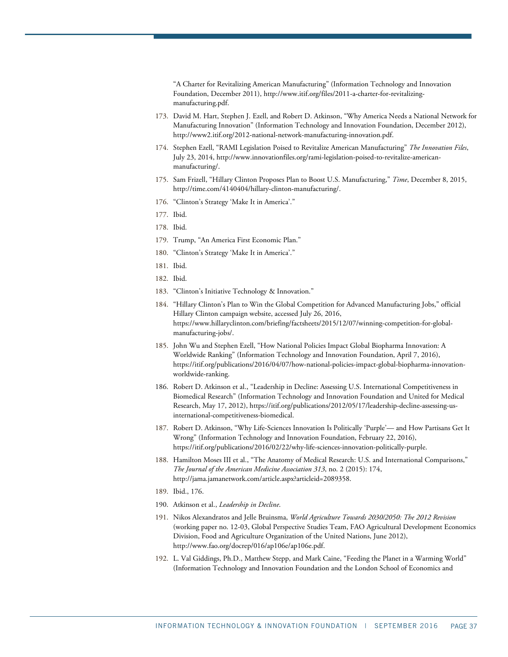"A Charter for Revitalizing American Manufacturing" (Information Technology and Innovation Foundation, December 2011), [http://www.itif.org/files/2011-a-charter-for-revitalizing](http://www.itif.org/files/2011-a-charter-for-revitalizing-manufacturing.pdf)[manufacturing.pdf.](http://www.itif.org/files/2011-a-charter-for-revitalizing-manufacturing.pdf)

- <span id="page-36-0"></span>173. David M. Hart, Stephen J. Ezell, and Robert D. Atkinson, "Why America Needs a National Network for Manufacturing Innovation" (Information Technology and Innovation Foundation, December 2012), [http://www2.itif.org/2012-national-network-manufacturing-innovation.pdf.](http://www2.itif.org/2012-national-network-manufacturing-innovation.pdf)
- <span id="page-36-1"></span>174. Stephen Ezell, "RAMI Legislation Poised to Revitalize American Manufacturing" *The Innovation Files*, July 23, 2014, [http://www.innovationfiles.org/rami-legislation-poised-to-revitalize-american](http://www.innovationfiles.org/rami-legislation-poised-to-revitalize-american-manufacturing/)[manufacturing/.](http://www.innovationfiles.org/rami-legislation-poised-to-revitalize-american-manufacturing/)
- <span id="page-36-2"></span>175. Sam Frizell, "Hillary Clinton Proposes Plan to Boost U.S. Manufacturing," *Time*, December 8, 2015, [http://time.com/4140404/hillary-clinton-manufacturing/.](http://time.com/4140404/hillary-clinton-manufacturing/)
- <span id="page-36-3"></span>176. "Clinton's Strategy 'Make It in America'."
- <span id="page-36-5"></span><span id="page-36-4"></span>177. Ibid.
- 178. Ibid.
- <span id="page-36-6"></span>179. Trump, "An America First Economic Plan."
- <span id="page-36-7"></span>180. "Clinton's Strategy 'Make It in America'."
- <span id="page-36-8"></span>181. Ibid.
- <span id="page-36-9"></span>182. Ibid.
- <span id="page-36-10"></span>183. "Clinton's Initiative Technology & Innovation."
- <span id="page-36-11"></span>184. "Hillary Clinton's Plan to Win the Global Competition for Advanced Manufacturing Jobs," official Hillary Clinton campaign website, accessed July 26, 2016, [https://www.hillaryclinton.com/briefing/factsheets/2015/12/07/winning-competition-for-global](https://www.hillaryclinton.com/briefing/factsheets/2015/12/07/winning-competition-for-global-manufacturing-jobs/)[manufacturing-jobs/.](https://www.hillaryclinton.com/briefing/factsheets/2015/12/07/winning-competition-for-global-manufacturing-jobs/)
- <span id="page-36-12"></span>185. John Wu and Stephen Ezell, "How National Policies Impact Global Biopharma Innovation: A Worldwide Ranking" (Information Technology and Innovation Foundation, April 7, 2016), [https://itif.org/publications/2016/04/07/how-national-policies-impact-global-biopharma-innovation](https://itif.org/publications/2016/04/07/how-national-policies-impact-global-biopharma-innovation-worldwide-ranking)[worldwide-ranking.](https://itif.org/publications/2016/04/07/how-national-policies-impact-global-biopharma-innovation-worldwide-ranking)
- <span id="page-36-13"></span>186. Robert D. Atkinson et al., "Leadership in Decline: Assessing U.S. International Competitiveness in Biomedical Research" (Information Technology and Innovation Foundation and United for Medical Research, May 17, 2012), [https://itif.org/publications/2012/05/17/leadership-decline-assessing-us](https://itif.org/publications/2012/05/17/leadership-decline-assessing-us-international-competitiveness-biomedical)[international-competitiveness-biomedical.](https://itif.org/publications/2012/05/17/leadership-decline-assessing-us-international-competitiveness-biomedical)
- <span id="page-36-14"></span>187. Robert D. Atkinson, "Why Life-Sciences Innovation Is Politically 'Purple'— and How Partisans Get It Wrong" (Information Technology and Innovation Foundation, February 22, 2016), [https://itif.org/publications/2016/02/22/why-life-sciences-innovation-politically-purple.](https://itif.org/publications/2016/02/22/why-life-sciences-innovation-politically-purple)
- <span id="page-36-15"></span>188. Hamilton Moses III et al., "The Anatomy of Medical Research: U.S. and International Comparisons," *The Journal of the American Medicine Association 313*, no. 2 (2015): 174, [http://jama.jamanetwork.com/article.aspx?articleid=2089358.](http://jama.jamanetwork.com/article.aspx?articleid=2089358)
- 189. Ibid., 176.
- <span id="page-36-18"></span><span id="page-36-17"></span><span id="page-36-16"></span>190. Atkinson et al., *Leadership in Decline*.
- 191. Nikos Alexandratos and Jelle Bruinsma, *World Agriculture Towards 2030/2050: The 2012 Revision* (working paper no. 12-03, Global Perspective Studies Team, FAO Agricultural Development Economics Division, Food and Agriculture Organization of the United Nations, June 2012), [http://www.fao.org/docrep/016/ap106e/ap106e.pdf.](http://www.fao.org/docrep/016/ap106e/ap106e.pdf)
- <span id="page-36-19"></span>192. L. Val Giddings, Ph.D., Matthew Stepp, and Mark Caine, "Feeding the Planet in a Warming World" (Information Technology and Innovation Foundation and the London School of Economics and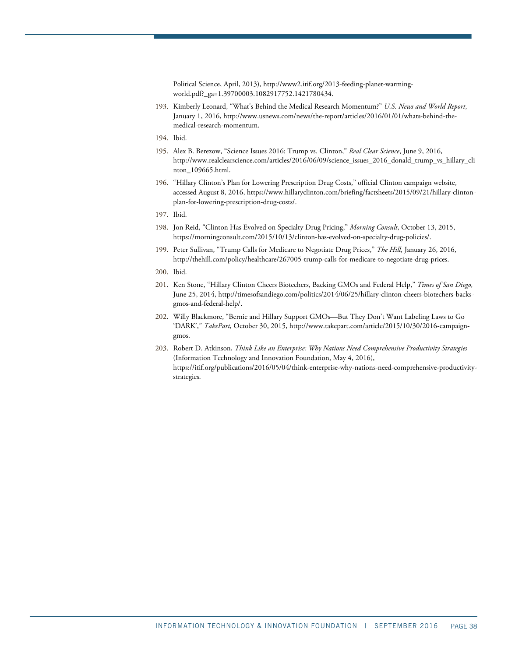Political Science, April, 2013)[, http://www2.itif.org/2013-feeding-planet-warming](http://www2.itif.org/2013-feeding-planet-warming-world.pdf?_ga=1.39700003.1082917752.1421780434)[world.pdf?\\_ga=1.39700003.1082917752.1421780434.](http://www2.itif.org/2013-feeding-planet-warming-world.pdf?_ga=1.39700003.1082917752.1421780434)

- <span id="page-37-0"></span>193. Kimberly Leonard, "What's Behind the Medical Research Momentum?" *U.S. News and World Report*, January 1, 2016[, http://www.usnews.com/news/the-report/articles/2016/01/01/whats-behind-the](http://www.usnews.com/news/the-report/articles/2016/01/01/whats-behind-the-medical-research-momentum)[medical-research-momentum.](http://www.usnews.com/news/the-report/articles/2016/01/01/whats-behind-the-medical-research-momentum)
- <span id="page-37-2"></span><span id="page-37-1"></span>194. Ibid.
- 195. Alex B. Berezow, "Science Issues 2016: Trump vs. Clinton," *Real Clear Science*, June 9, 2016, [http://www.realclearscience.com/articles/2016/06/09/science\\_issues\\_2016\\_donald\\_trump\\_vs\\_hillary\\_cli](http://www.realclearscience.com/articles/2016/06/09/science_issues_2016_donald_trump_vs_hillary_clinton_109665.html) [nton\\_109665.html.](http://www.realclearscience.com/articles/2016/06/09/science_issues_2016_donald_trump_vs_hillary_clinton_109665.html)
- <span id="page-37-3"></span>196. "Hillary Clinton's Plan for Lowering Prescription Drug Costs," official Clinton campaign website, accessed August 8, 2016[, https://www.hillaryclinton.com/briefing/factsheets/2015/09/21/hillary-clinton](https://www.hillaryclinton.com/briefing/factsheets/2015/09/21/hillary-clinton-plan-for-lowering-prescription-drug-costs/)[plan-for-lowering-prescription-drug-costs/.](https://www.hillaryclinton.com/briefing/factsheets/2015/09/21/hillary-clinton-plan-for-lowering-prescription-drug-costs/)
- <span id="page-37-5"></span><span id="page-37-4"></span>197. Ibid.
- 198. Jon Reid, "Clinton Has Evolved on Specialty Drug Pricing," *Morning Consult*, October 13, 2015, [https://morningconsult.com/2015/10/13/clinton-has-evolved-on-specialty-drug-policies/.](https://morningconsult.com/2015/10/13/clinton-has-evolved-on-specialty-drug-policies/)
- <span id="page-37-6"></span>199. Peter Sullivan, "Trump Calls for Medicare to Negotiate Drug Prices," *The Hill*, January 26, 2016, http://thehill.com/policy/healthcare/267005-trump-calls-for-medicare-to-negotiate-drug-prices.
- <span id="page-37-7"></span>200. Ibid.
- <span id="page-37-8"></span>201. Ken Stone, "Hillary Clinton Cheers Biotechers, Backing GMOs and Federal Help," *Times of San Diego,* June 25, 2014, [http://timesofsandiego.com/politics/2014/06/25/hillary-clinton-cheers-biotechers-backs](http://timesofsandiego.com/politics/2014/06/25/hillary-clinton-cheers-biotechers-backs-gmos-and-federal-help/)[gmos-and-federal-help/.](http://timesofsandiego.com/politics/2014/06/25/hillary-clinton-cheers-biotechers-backs-gmos-and-federal-help/)
- <span id="page-37-9"></span>202. Willy Blackmore, "Bernie and Hillary Support GMOs—But They Don't Want Labeling Laws to Go 'DARK'," *TakePart,* October 30, 2015, [http://www.takepart.com/article/2015/10/30/2016-campaign](http://www.takepart.com/article/2015/10/30/2016-campaign-gmos)[gmos.](http://www.takepart.com/article/2015/10/30/2016-campaign-gmos)
- <span id="page-37-10"></span>203. Robert D. Atkinson, *Think Like an Enterprise: Why Nations Need Comprehensive Productivity Strategies* (Information Technology and Innovation Foundation, May 4, 2016), [https://itif.org/publications/2016/05/04/think-enterprise-why-nations-need-comprehensive-productivity](https://itif.org/publications/2016/05/04/think-enterprise-why-nations-need-comprehensive-productivity-strategies)[strategies.](https://itif.org/publications/2016/05/04/think-enterprise-why-nations-need-comprehensive-productivity-strategies)